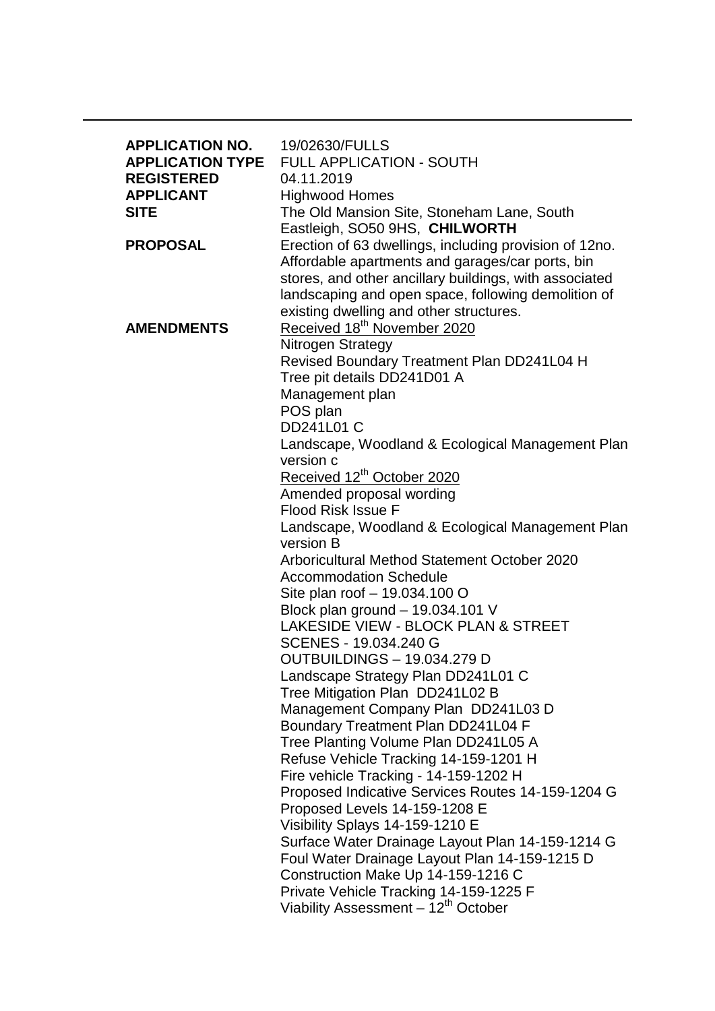| <b>APPLICATION NO.</b><br><b>APPLICATION TYPE</b><br><b>REGISTERED</b><br><b>APPLICANT</b><br><b>SITE</b> | 19/02630/FULLS<br><b>FULL APPLICATION - SOUTH</b><br>04.11.2019<br><b>Highwood Homes</b><br>The Old Mansion Site, Stoneham Lane, South<br>Eastleigh, SO50 9HS, CHILWORTH                                                                                               |
|-----------------------------------------------------------------------------------------------------------|------------------------------------------------------------------------------------------------------------------------------------------------------------------------------------------------------------------------------------------------------------------------|
| <b>PROPOSAL</b>                                                                                           | Erection of 63 dwellings, including provision of 12no.<br>Affordable apartments and garages/car ports, bin<br>stores, and other ancillary buildings, with associated<br>landscaping and open space, following demolition of<br>existing dwelling and other structures. |
| <b>AMENDMENTS</b>                                                                                         | Received 18 <sup>th</sup> November 2020<br>Nitrogen Strategy<br>Revised Boundary Treatment Plan DD241L04 H<br>Tree pit details DD241D01 A<br>Management plan<br>POS plan                                                                                               |
|                                                                                                           | <b>DD241L01 C</b><br>Landscape, Woodland & Ecological Management Plan<br>version c                                                                                                                                                                                     |
|                                                                                                           | Received 12 <sup>th</sup> October 2020                                                                                                                                                                                                                                 |
|                                                                                                           | Amended proposal wording<br><b>Flood Risk Issue F</b>                                                                                                                                                                                                                  |
|                                                                                                           | Landscape, Woodland & Ecological Management Plan                                                                                                                                                                                                                       |
|                                                                                                           | version B                                                                                                                                                                                                                                                              |
|                                                                                                           | Arboricultural Method Statement October 2020                                                                                                                                                                                                                           |
|                                                                                                           | <b>Accommodation Schedule</b>                                                                                                                                                                                                                                          |
|                                                                                                           | Site plan roof - 19.034.100 O                                                                                                                                                                                                                                          |
|                                                                                                           | Block plan ground - 19.034.101 V                                                                                                                                                                                                                                       |
|                                                                                                           | LAKESIDE VIEW - BLOCK PLAN & STREET                                                                                                                                                                                                                                    |
|                                                                                                           | SCENES - 19.034.240 G                                                                                                                                                                                                                                                  |
|                                                                                                           | OUTBUILDINGS - 19.034.279 D                                                                                                                                                                                                                                            |
|                                                                                                           | Landscape Strategy Plan DD241L01 C                                                                                                                                                                                                                                     |
|                                                                                                           | Tree Mitigation Plan DD241L02 B                                                                                                                                                                                                                                        |
|                                                                                                           | Management Company Plan DD241L03 D                                                                                                                                                                                                                                     |
|                                                                                                           | Boundary Treatment Plan DD241L04 F                                                                                                                                                                                                                                     |
|                                                                                                           | Tree Planting Volume Plan DD241L05 A                                                                                                                                                                                                                                   |
|                                                                                                           | Refuse Vehicle Tracking 14-159-1201 H                                                                                                                                                                                                                                  |
|                                                                                                           | Fire vehicle Tracking - 14-159-1202 H                                                                                                                                                                                                                                  |
|                                                                                                           | Proposed Indicative Services Routes 14-159-1204 G                                                                                                                                                                                                                      |
|                                                                                                           | Proposed Levels 14-159-1208 E                                                                                                                                                                                                                                          |
|                                                                                                           | Visibility Splays 14-159-1210 E                                                                                                                                                                                                                                        |
|                                                                                                           | Surface Water Drainage Layout Plan 14-159-1214 G                                                                                                                                                                                                                       |
|                                                                                                           | Foul Water Drainage Layout Plan 14-159-1215 D                                                                                                                                                                                                                          |
|                                                                                                           | Construction Make Up 14-159-1216 C<br>Private Vehicle Tracking 14-159-1225 F                                                                                                                                                                                           |
|                                                                                                           | Viability Assessment - 12 <sup>th</sup> October                                                                                                                                                                                                                        |
|                                                                                                           |                                                                                                                                                                                                                                                                        |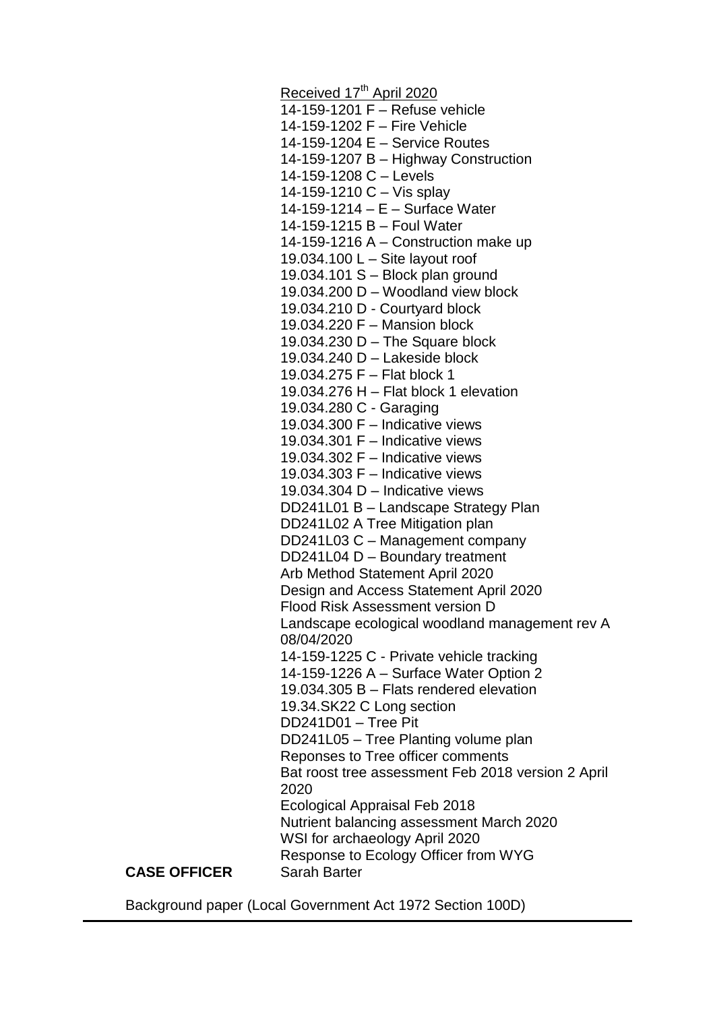Received 17<sup>th</sup> April 2020 14-159-1201 F – Refuse vehicle 14-159-1202 F – Fire Vehicle 14-159-1204 E – Service Routes 14-159-1207 B – Highway Construction 14-159-1208 C – Levels 14-159-1210 C – Vis splay 14-159-1214 – E – Surface Water 14-159-1215 B – Foul Water 14-159-1216 A – Construction make up 19.034.100 L – Site layout roof 19.034.101 S – Block plan ground 19.034.200 D – Woodland view block 19.034.210 D - Courtyard block 19.034.220 F – Mansion block 19.034.230 D – The Square block 19.034.240 D – Lakeside block 19.034.275 F – Flat block 1 19.034.276 H – Flat block 1 elevation 19.034.280 C - Garaging 19.034.300 F – Indicative views 19.034.301 F – Indicative views 19.034.302 F – Indicative views 19.034.303 F – Indicative views 19.034.304 D – Indicative views DD241L01 B – Landscape Strategy Plan DD241L02 A Tree Mitigation plan DD241L03 C – Management company DD241L04 D – Boundary treatment Arb Method Statement April 2020 Design and Access Statement April 2020 Flood Risk Assessment version D Landscape ecological woodland management rev A 08/04/2020 14-159-1225 C - Private vehicle tracking 14-159-1226 A – Surface Water Option 2 19.034.305 B – Flats rendered elevation 19.34.SK22 C Long section DD241D01 – Tree Pit DD241L05 – Tree Planting volume plan Reponses to Tree officer comments Bat roost tree assessment Feb 2018 version 2 April 2020 Ecological Appraisal Feb 2018 Nutrient balancing assessment March 2020 WSI for archaeology April 2020 Response to Ecology Officer from WYG **CASE OFFICER** Sarah Barter

Background paper (Local Government Act 1972 Section 100D)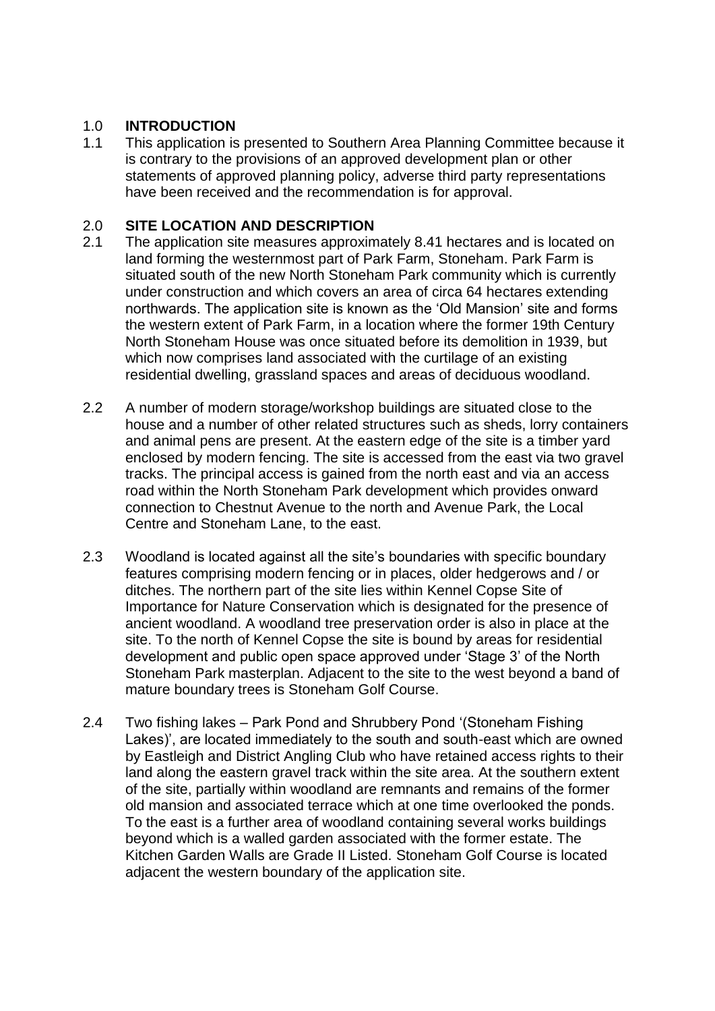# 1.0 **INTRODUCTION**

1.1 This application is presented to Southern Area Planning Committee because it is contrary to the provisions of an approved development plan or other statements of approved planning policy, adverse third party representations have been received and the recommendation is for approval.

# 2.0 **SITE LOCATION AND DESCRIPTION**

- 2.1 The application site measures approximately 8.41 hectares and is located on land forming the westernmost part of Park Farm, Stoneham. Park Farm is situated south of the new North Stoneham Park community which is currently under construction and which covers an area of circa 64 hectares extending northwards. The application site is known as the 'Old Mansion' site and forms the western extent of Park Farm, in a location where the former 19th Century North Stoneham House was once situated before its demolition in 1939, but which now comprises land associated with the curtilage of an existing residential dwelling, grassland spaces and areas of deciduous woodland.
- 2.2 A number of modern storage/workshop buildings are situated close to the house and a number of other related structures such as sheds, lorry containers and animal pens are present. At the eastern edge of the site is a timber yard enclosed by modern fencing. The site is accessed from the east via two gravel tracks. The principal access is gained from the north east and via an access road within the North Stoneham Park development which provides onward connection to Chestnut Avenue to the north and Avenue Park, the Local Centre and Stoneham Lane, to the east.
- 2.3 Woodland is located against all the site's boundaries with specific boundary features comprising modern fencing or in places, older hedgerows and / or ditches. The northern part of the site lies within Kennel Copse Site of Importance for Nature Conservation which is designated for the presence of ancient woodland. A woodland tree preservation order is also in place at the site. To the north of Kennel Copse the site is bound by areas for residential development and public open space approved under 'Stage 3' of the North Stoneham Park masterplan. Adjacent to the site to the west beyond a band of mature boundary trees is Stoneham Golf Course.
- 2.4 Two fishing lakes Park Pond and Shrubbery Pond '(Stoneham Fishing Lakes)', are located immediately to the south and south-east which are owned by Eastleigh and District Angling Club who have retained access rights to their land along the eastern gravel track within the site area. At the southern extent of the site, partially within woodland are remnants and remains of the former old mansion and associated terrace which at one time overlooked the ponds. To the east is a further area of woodland containing several works buildings beyond which is a walled garden associated with the former estate. The Kitchen Garden Walls are Grade II Listed. Stoneham Golf Course is located adjacent the western boundary of the application site.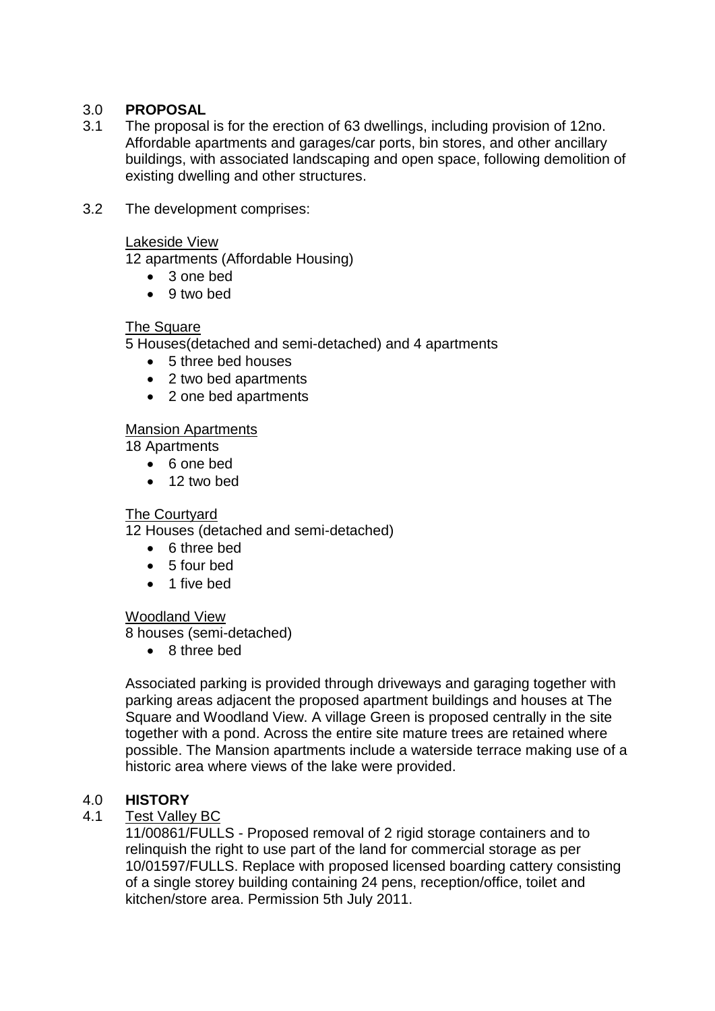# 3.0 **PROPOSAL**

- 3.1 The proposal is for the erection of 63 dwellings, including provision of 12no. Affordable apartments and garages/car ports, bin stores, and other ancillary buildings, with associated landscaping and open space, following demolition of existing dwelling and other structures.
- 3.2 The development comprises:

#### Lakeside View

12 apartments (Affordable Housing)

- 3 one bed
- 9 two bed

## The Square

5 Houses(detached and semi-detached) and 4 apartments

- 5 three bed houses
- 2 two bed apartments
- 2 one bed apartments

## Mansion Apartments

18 Apartments

- 6 one bed
- 12 two bed

## The Courtyard

12 Houses (detached and semi-detached)

- 6 three bed
- 5 four bed
- 1 five bed

## Woodland View

8 houses (semi-detached)

• 8 three bed

Associated parking is provided through driveways and garaging together with parking areas adjacent the proposed apartment buildings and houses at The Square and Woodland View. A village Green is proposed centrally in the site together with a pond. Across the entire site mature trees are retained where possible. The Mansion apartments include a waterside terrace making use of a historic area where views of the lake were provided.

## 4.0 **HISTORY**

## 4.1 Test Valley BC

11/00861/FULLS - Proposed removal of 2 rigid storage containers and to relinquish the right to use part of the land for commercial storage as per 10/01597/FULLS. Replace with proposed licensed boarding cattery consisting of a single storey building containing 24 pens, reception/office, toilet and kitchen/store area. Permission 5th July 2011.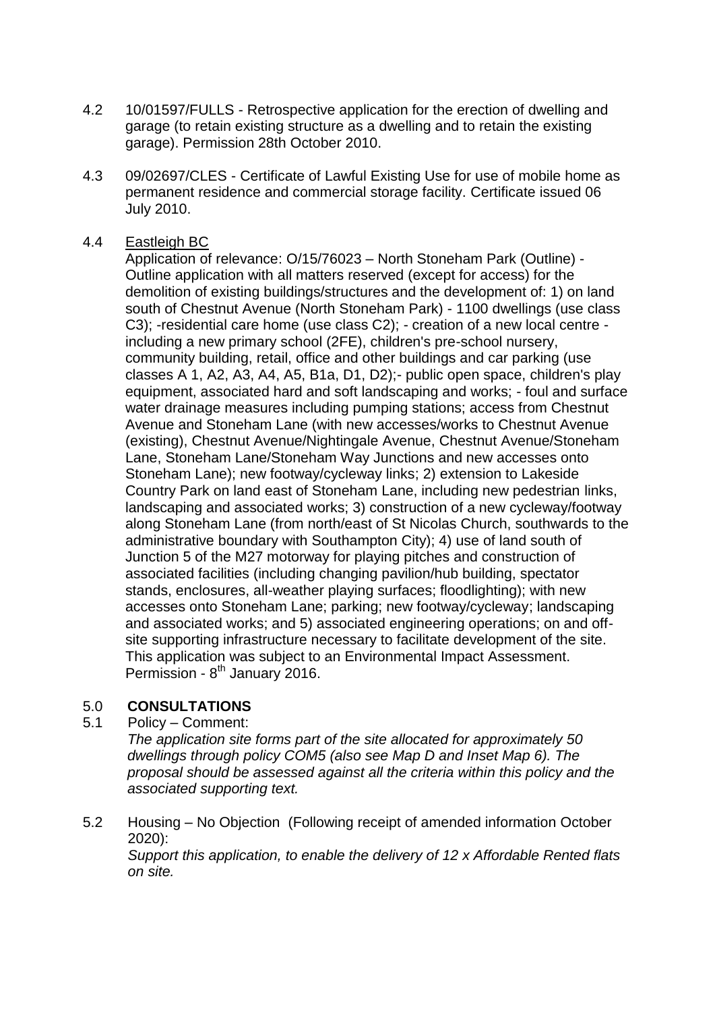- 4.2 10/01597/FULLS Retrospective application for the erection of dwelling and garage (to retain existing structure as a dwelling and to retain the existing garage). Permission 28th October 2010.
- 4.3 09/02697/CLES Certificate of Lawful Existing Use for use of mobile home as permanent residence and commercial storage facility. Certificate issued 06 July 2010.

## 4.4 Eastleigh BC

Application of relevance: O/15/76023 – North Stoneham Park (Outline) - Outline application with all matters reserved (except for access) for the demolition of existing buildings/structures and the development of: 1) on land south of Chestnut Avenue (North Stoneham Park) - 1100 dwellings (use class C3); -residential care home (use class C2); - creation of a new local centre including a new primary school (2FE), children's pre-school nursery, community building, retail, office and other buildings and car parking (use classes A 1, A2, A3, A4, A5, B1a, D1, D2);- public open space, children's play equipment, associated hard and soft landscaping and works; - foul and surface water drainage measures including pumping stations; access from Chestnut Avenue and Stoneham Lane (with new accesses/works to Chestnut Avenue (existing), Chestnut Avenue/Nightingale Avenue, Chestnut Avenue/Stoneham Lane, Stoneham Lane/Stoneham Way Junctions and new accesses onto Stoneham Lane); new footway/cycleway links; 2) extension to Lakeside Country Park on land east of Stoneham Lane, including new pedestrian links, landscaping and associated works; 3) construction of a new cycleway/footway along Stoneham Lane (from north/east of St Nicolas Church, southwards to the administrative boundary with Southampton City); 4) use of land south of Junction 5 of the M27 motorway for playing pitches and construction of associated facilities (including changing pavilion/hub building, spectator stands, enclosures, all-weather playing surfaces; floodlighting); with new accesses onto Stoneham Lane; parking; new footway/cycleway; landscaping and associated works; and 5) associated engineering operations; on and offsite supporting infrastructure necessary to facilitate development of the site. This application was subject to an Environmental Impact Assessment. Permission - 8<sup>th</sup> January 2016.

## 5.0 **CONSULTATIONS**

5.1 Policy – Comment:

*The application site forms part of the site allocated for approximately 50 dwellings through policy COM5 (also see Map D and Inset Map 6). The proposal should be assessed against all the criteria within this policy and the associated supporting text.*

5.2 Housing – No Objection (Following receipt of amended information October 2020):

*Support this application, to enable the delivery of 12 x Affordable Rented flats on site.*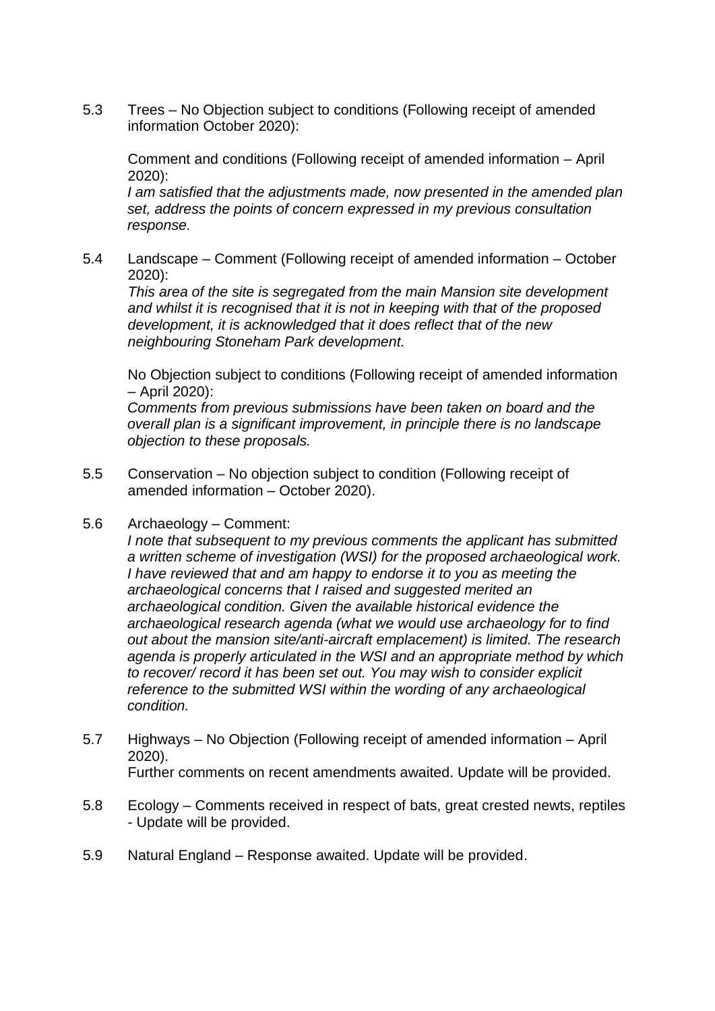5.3 Trees – No Objection subject to conditions (Following receipt of amended information October 2020):

Comment and conditions (Following receipt of amended information – April 2020):

*I am satisfied that the adjustments made, now presented in the amended plan set, address the points of concern expressed in my previous consultation response.* 

5.4 Landscape – Comment (Following receipt of amended information – October 2020):

*This area of the site is segregated from the main Mansion site development and whilst it is recognised that it is not in keeping with that of the proposed development, it is acknowledged that it does reflect that of the new neighbouring Stoneham Park development.*

No Objection subject to conditions (Following receipt of amended information – April 2020):

*Comments from previous submissions have been taken on board and the overall plan is a significant improvement, in principle there is no landscape objection to these proposals.*

- 5.5 Conservation No objection subject to condition (Following receipt of amended information – October 2020).
- 5.6 Archaeology Comment:

*I note that subsequent to my previous comments the applicant has submitted a written scheme of investigation (WSI) for the proposed archaeological work. I have reviewed that and am happy to endorse it to you as meeting the archaeological concerns that I raised and suggested merited an archaeological condition. Given the available historical evidence the archaeological research agenda (what we would use archaeology for to find out about the mansion site/anti-aircraft emplacement) is limited. The research agenda is properly articulated in the WSI and an appropriate method by which to recover/ record it has been set out. You may wish to consider explicit reference to the submitted WSI within the wording of any archaeological condition.*

- 5.7 Highways No Objection (Following receipt of amended information April 2020). Further comments on recent amendments awaited. Update will be provided.
- 5.8 Ecology Comments received in respect of bats, great crested newts, reptiles - Update will be provided.
- 5.9 Natural England Response awaited. Update will be provided.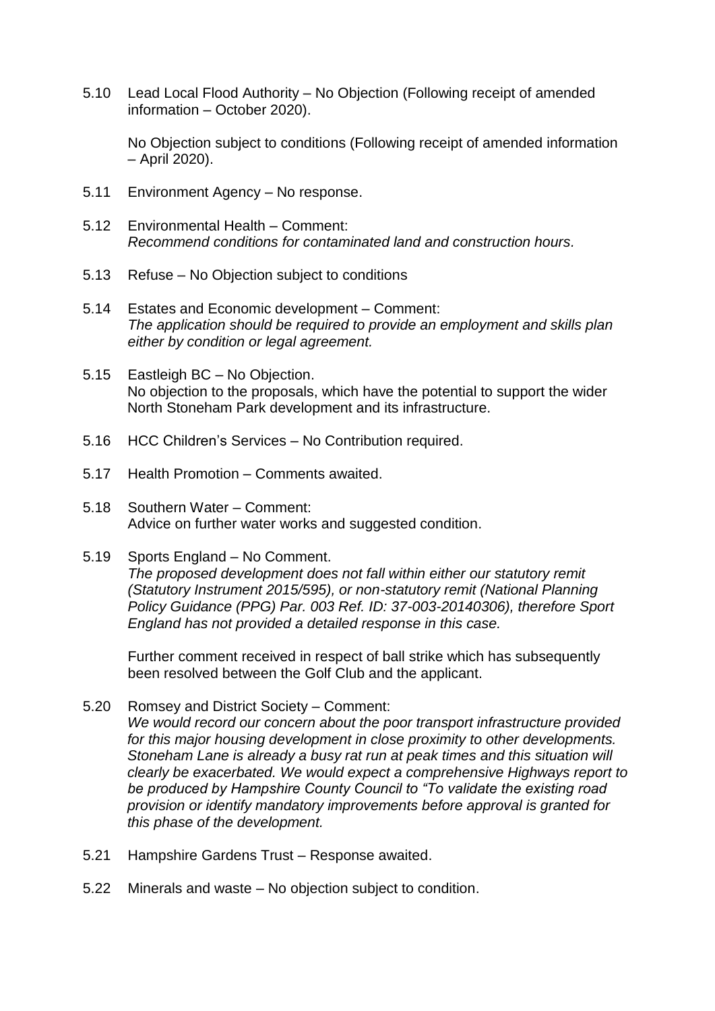5.10 Lead Local Flood Authority – No Objection (Following receipt of amended information – October 2020).

No Objection subject to conditions (Following receipt of amended information – April 2020).

- 5.11 Environment Agency No response.
- 5.12 Environmental Health Comment: *Recommend conditions for contaminated land and construction hours.*
- 5.13 Refuse No Objection subject to conditions
- 5.14 Estates and Economic development Comment: *The application should be required to provide an employment and skills plan either by condition or legal agreement.*
- 5.15 Eastleigh BC No Objection. No objection to the proposals, which have the potential to support the wider North Stoneham Park development and its infrastructure.
- 5.16 HCC Children's Services No Contribution required.
- 5.17 Health Promotion Comments awaited.
- 5.18 Southern Water Comment: Advice on further water works and suggested condition.

#### 5.19 Sports England – No Comment.

*The proposed development does not fall within either our statutory remit (Statutory Instrument 2015/595), or non-statutory remit (National Planning Policy Guidance (PPG) Par. 003 Ref. ID: 37-003-20140306), therefore Sport England has not provided a detailed response in this case.*

Further comment received in respect of ball strike which has subsequently been resolved between the Golf Club and the applicant.

- 5.20 Romsey and District Society Comment: *We would record our concern about the poor transport infrastructure provided for this major housing development in close proximity to other developments. Stoneham Lane is already a busy rat run at peak times and this situation will clearly be exacerbated. We would expect a comprehensive Highways report to be produced by Hampshire County Council to "To validate the existing road provision or identify mandatory improvements before approval is granted for this phase of the development.*
- 5.21 Hampshire Gardens Trust Response awaited.
- 5.22 Minerals and waste No objection subject to condition.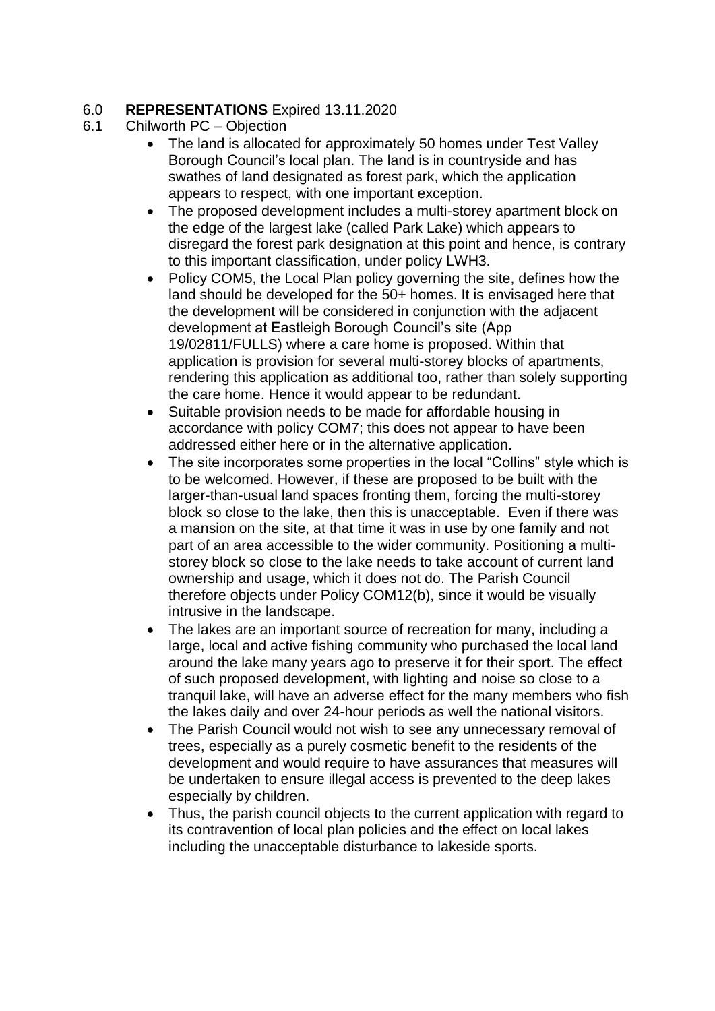# 6.0 **REPRESENTATIONS** Expired 13.11.2020

- 6.1 Chilworth PC Objection
	- The land is allocated for approximately 50 homes under Test Valley Borough Council's local plan. The land is in countryside and has swathes of land designated as forest park, which the application appears to respect, with one important exception.
	- The proposed development includes a multi-storey apartment block on the edge of the largest lake (called Park Lake) which appears to disregard the forest park designation at this point and hence, is contrary to this important classification, under policy LWH3.
	- Policy COM5, the Local Plan policy governing the site, defines how the land should be developed for the 50+ homes. It is envisaged here that the development will be considered in conjunction with the adjacent development at Eastleigh Borough Council's site (App 19/02811/FULLS) where a care home is proposed. Within that application is provision for several multi-storey blocks of apartments, rendering this application as additional too, rather than solely supporting the care home. Hence it would appear to be redundant.
	- Suitable provision needs to be made for affordable housing in accordance with policy COM7; this does not appear to have been addressed either here or in the alternative application.
	- The site incorporates some properties in the local "Collins" style which is to be welcomed. However, if these are proposed to be built with the larger-than-usual land spaces fronting them, forcing the multi-storey block so close to the lake, then this is unacceptable. Even if there was a mansion on the site, at that time it was in use by one family and not part of an area accessible to the wider community. Positioning a multistorey block so close to the lake needs to take account of current land ownership and usage, which it does not do. The Parish Council therefore objects under Policy COM12(b), since it would be visually intrusive in the landscape.
	- The lakes are an important source of recreation for many, including a large, local and active fishing community who purchased the local land around the lake many years ago to preserve it for their sport. The effect of such proposed development, with lighting and noise so close to a tranquil lake, will have an adverse effect for the many members who fish the lakes daily and over 24-hour periods as well the national visitors.
	- The Parish Council would not wish to see any unnecessary removal of trees, especially as a purely cosmetic benefit to the residents of the development and would require to have assurances that measures will be undertaken to ensure illegal access is prevented to the deep lakes especially by children.
	- Thus, the parish council objects to the current application with regard to its contravention of local plan policies and the effect on local lakes including the unacceptable disturbance to lakeside sports.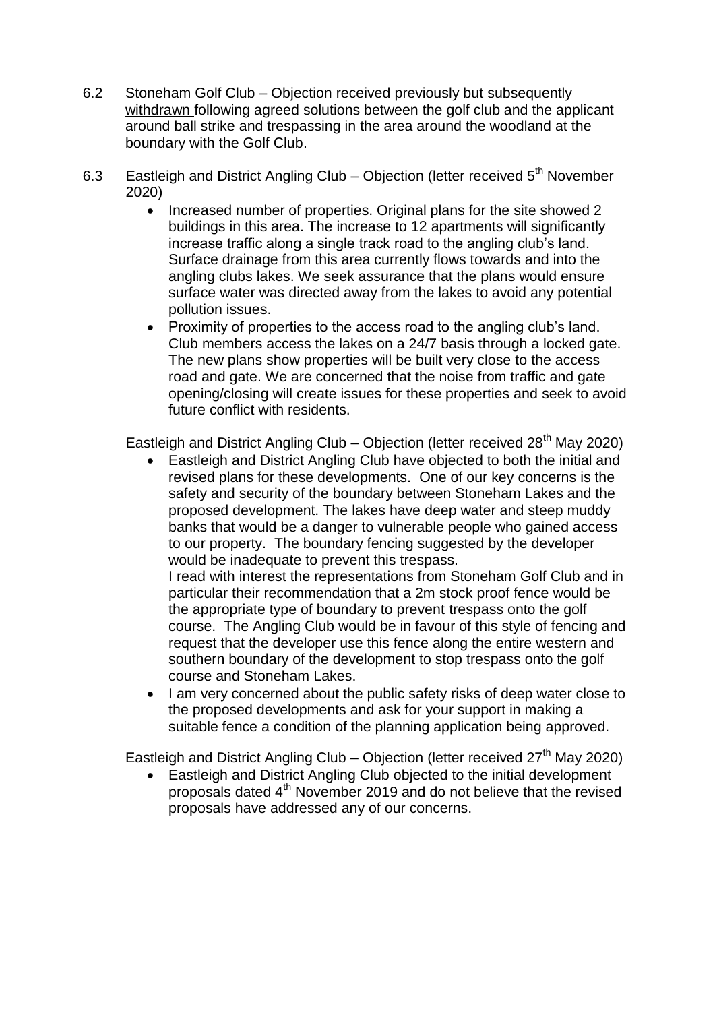- 6.2 Stoneham Golf Club Objection received previously but subsequently withdrawn following agreed solutions between the golf club and the applicant around ball strike and trespassing in the area around the woodland at the boundary with the Golf Club.
- 6.3 Eastleigh and District Angling Club Objection (letter received 5<sup>th</sup> November 2020)
	- Increased number of properties. Original plans for the site showed 2 buildings in this area. The increase to 12 apartments will significantly increase traffic along a single track road to the angling club's land. Surface drainage from this area currently flows towards and into the angling clubs lakes. We seek assurance that the plans would ensure surface water was directed away from the lakes to avoid any potential pollution issues.
	- Proximity of properties to the access road to the angling club's land. Club members access the lakes on a 24/7 basis through a locked gate. The new plans show properties will be built very close to the access road and gate. We are concerned that the noise from traffic and gate opening/closing will create issues for these properties and seek to avoid future conflict with residents.

Eastleigh and District Angling Club – Objection (letter received  $28<sup>th</sup>$  May 2020)

 Eastleigh and District Angling Club have objected to both the initial and revised plans for these developments. One of our key concerns is the safety and security of the boundary between Stoneham Lakes and the proposed development. The lakes have deep water and steep muddy banks that would be a danger to vulnerable people who gained access to our property. The boundary fencing suggested by the developer would be inadequate to prevent this trespass.

I read with interest the representations from Stoneham Golf Club and in particular their recommendation that a 2m stock proof fence would be the appropriate type of boundary to prevent trespass onto the golf course. The Angling Club would be in favour of this style of fencing and request that the developer use this fence along the entire western and southern boundary of the development to stop trespass onto the golf course and Stoneham Lakes.

• I am very concerned about the public safety risks of deep water close to the proposed developments and ask for your support in making a suitable fence a condition of the planning application being approved.

Eastleigh and District Angling Club – Objection (letter received  $27<sup>th</sup>$  May 2020)

 Eastleigh and District Angling Club objected to the initial development proposals dated 4th November 2019 and do not believe that the revised proposals have addressed any of our concerns.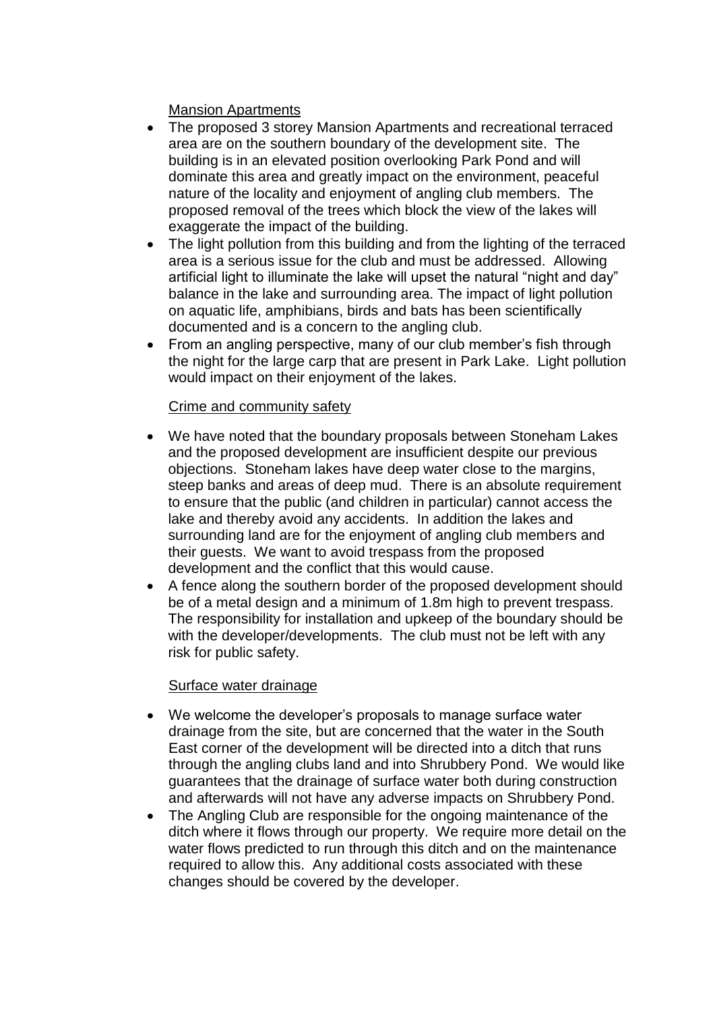# Mansion Apartments

- The proposed 3 storey Mansion Apartments and recreational terraced area are on the southern boundary of the development site. The building is in an elevated position overlooking Park Pond and will dominate this area and greatly impact on the environment, peaceful nature of the locality and enjoyment of angling club members. The proposed removal of the trees which block the view of the lakes will exaggerate the impact of the building.
- The light pollution from this building and from the lighting of the terraced area is a serious issue for the club and must be addressed. Allowing artificial light to illuminate the lake will upset the natural "night and day" balance in the lake and surrounding area. The impact of light pollution on aquatic life, amphibians, birds and bats has been scientifically documented and is a concern to the angling club.
- From an angling perspective, many of our club member's fish through the night for the large carp that are present in Park Lake. Light pollution would impact on their enjoyment of the lakes.

## Crime and community safety

- We have noted that the boundary proposals between Stoneham Lakes and the proposed development are insufficient despite our previous objections. Stoneham lakes have deep water close to the margins, steep banks and areas of deep mud. There is an absolute requirement to ensure that the public (and children in particular) cannot access the lake and thereby avoid any accidents. In addition the lakes and surrounding land are for the enjoyment of angling club members and their guests. We want to avoid trespass from the proposed development and the conflict that this would cause.
- A fence along the southern border of the proposed development should be of a metal design and a minimum of 1.8m high to prevent trespass. The responsibility for installation and upkeep of the boundary should be with the developer/developments. The club must not be left with any risk for public safety.

## Surface water drainage

- We welcome the developer's proposals to manage surface water drainage from the site, but are concerned that the water in the South East corner of the development will be directed into a ditch that runs through the angling clubs land and into Shrubbery Pond. We would like guarantees that the drainage of surface water both during construction and afterwards will not have any adverse impacts on Shrubbery Pond.
- The Angling Club are responsible for the ongoing maintenance of the ditch where it flows through our property. We require more detail on the water flows predicted to run through this ditch and on the maintenance required to allow this. Any additional costs associated with these changes should be covered by the developer.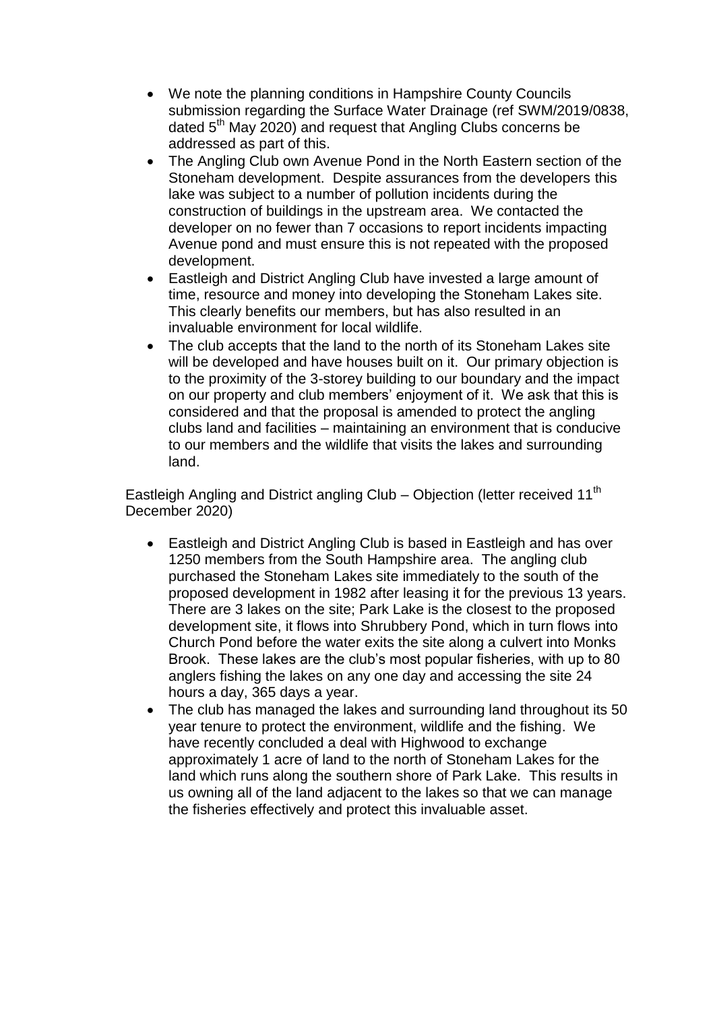- We note the planning conditions in Hampshire County Councils submission regarding the Surface Water Drainage (ref SWM/2019/0838, dated 5<sup>th</sup> May 2020) and request that Angling Clubs concerns be addressed as part of this.
- The Angling Club own Avenue Pond in the North Eastern section of the Stoneham development. Despite assurances from the developers this lake was subject to a number of pollution incidents during the construction of buildings in the upstream area. We contacted the developer on no fewer than 7 occasions to report incidents impacting Avenue pond and must ensure this is not repeated with the proposed development.
- Eastleigh and District Angling Club have invested a large amount of time, resource and money into developing the Stoneham Lakes site. This clearly benefits our members, but has also resulted in an invaluable environment for local wildlife.
- The club accepts that the land to the north of its Stoneham Lakes site will be developed and have houses built on it. Our primary objection is to the proximity of the 3-storey building to our boundary and the impact on our property and club members' enjoyment of it. We ask that this is considered and that the proposal is amended to protect the angling clubs land and facilities – maintaining an environment that is conducive to our members and the wildlife that visits the lakes and surrounding land.

Eastleigh Angling and District angling Club – Objection (letter received 11<sup>th</sup>) December 2020)

- Eastleigh and District Angling Club is based in Eastleigh and has over 1250 members from the South Hampshire area. The angling club purchased the Stoneham Lakes site immediately to the south of the proposed development in 1982 after leasing it for the previous 13 years. There are 3 lakes on the site; Park Lake is the closest to the proposed development site, it flows into Shrubbery Pond, which in turn flows into Church Pond before the water exits the site along a culvert into Monks Brook. These lakes are the club's most popular fisheries, with up to 80 anglers fishing the lakes on any one day and accessing the site 24 hours a day, 365 days a year.
- The club has managed the lakes and surrounding land throughout its 50 year tenure to protect the environment, wildlife and the fishing. We have recently concluded a deal with Highwood to exchange approximately 1 acre of land to the north of Stoneham Lakes for the land which runs along the southern shore of Park Lake. This results in us owning all of the land adjacent to the lakes so that we can manage the fisheries effectively and protect this invaluable asset.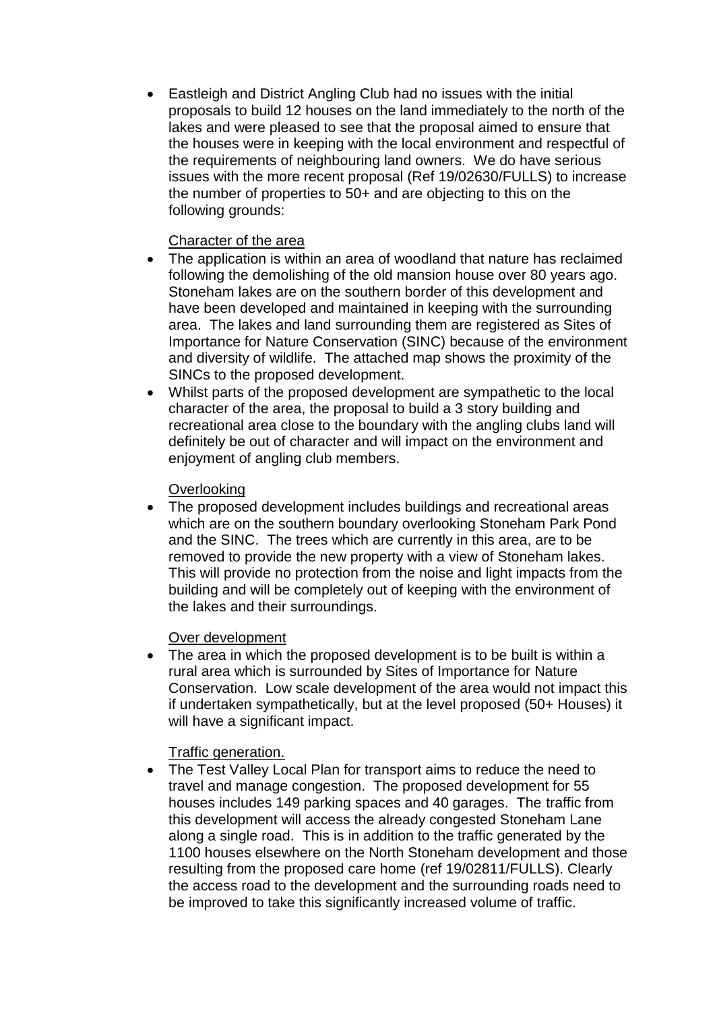Eastleigh and District Angling Club had no issues with the initial proposals to build 12 houses on the land immediately to the north of the lakes and were pleased to see that the proposal aimed to ensure that the houses were in keeping with the local environment and respectful of the requirements of neighbouring land owners. We do have serious issues with the more recent proposal (Ref 19/02630/FULLS) to increase the number of properties to 50+ and are objecting to this on the following grounds:

## Character of the area

- The application is within an area of woodland that nature has reclaimed following the demolishing of the old mansion house over 80 years ago. Stoneham lakes are on the southern border of this development and have been developed and maintained in keeping with the surrounding area. The lakes and land surrounding them are registered as Sites of Importance for Nature Conservation (SINC) because of the environment and diversity of wildlife. The attached map shows the proximity of the SINCs to the proposed development.
- Whilst parts of the proposed development are sympathetic to the local character of the area, the proposal to build a 3 story building and recreational area close to the boundary with the angling clubs land will definitely be out of character and will impact on the environment and enjoyment of angling club members.

## **Overlooking**

 The proposed development includes buildings and recreational areas which are on the southern boundary overlooking Stoneham Park Pond and the SINC. The trees which are currently in this area, are to be removed to provide the new property with a view of Stoneham lakes. This will provide no protection from the noise and light impacts from the building and will be completely out of keeping with the environment of the lakes and their surroundings.

# Over development

• The area in which the proposed development is to be built is within a rural area which is surrounded by Sites of Importance for Nature Conservation. Low scale development of the area would not impact this if undertaken sympathetically, but at the level proposed (50+ Houses) it will have a significant impact.

# Traffic generation.

• The Test Valley Local Plan for transport aims to reduce the need to travel and manage congestion. The proposed development for 55 houses includes 149 parking spaces and 40 garages. The traffic from this development will access the already congested Stoneham Lane along a single road. This is in addition to the traffic generated by the 1100 houses elsewhere on the North Stoneham development and those resulting from the proposed care home (ref 19/02811/FULLS). Clearly the access road to the development and the surrounding roads need to be improved to take this significantly increased volume of traffic.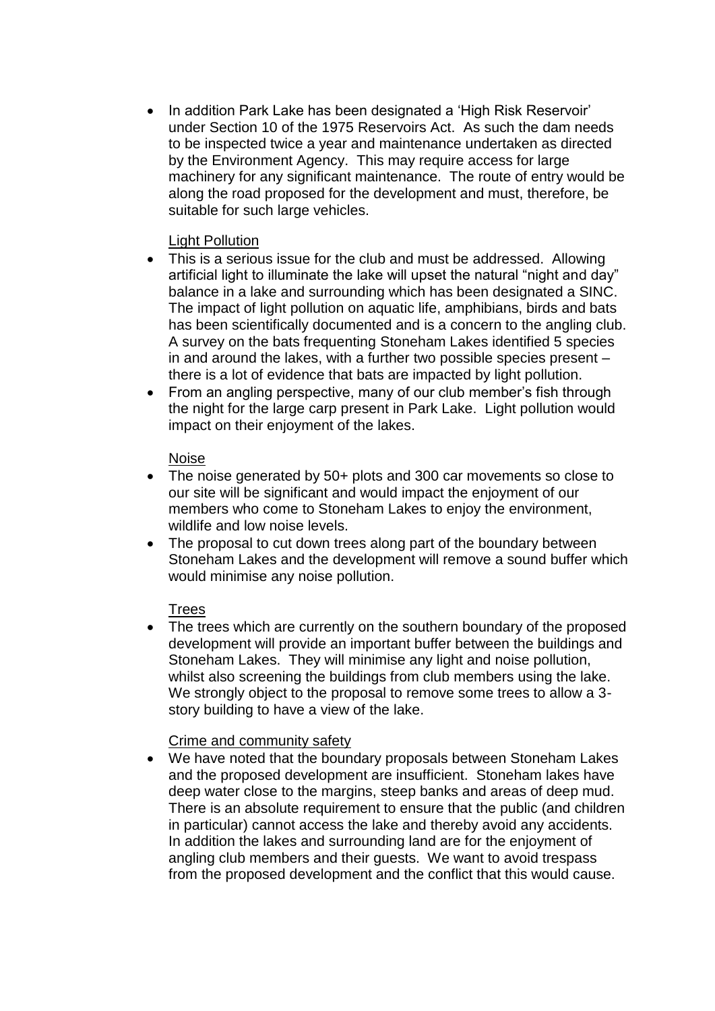• In addition Park Lake has been designated a 'High Risk Reservoir' under Section 10 of the 1975 Reservoirs Act. As such the dam needs to be inspected twice a year and maintenance undertaken as directed by the Environment Agency. This may require access for large machinery for any significant maintenance. The route of entry would be along the road proposed for the development and must, therefore, be suitable for such large vehicles.

## Light Pollution

- This is a serious issue for the club and must be addressed. Allowing artificial light to illuminate the lake will upset the natural "night and day" balance in a lake and surrounding which has been designated a SINC. The impact of light pollution on aquatic life, amphibians, birds and bats has been scientifically documented and is a concern to the angling club. A survey on the bats frequenting Stoneham Lakes identified 5 species in and around the lakes, with a further two possible species present – there is a lot of evidence that bats are impacted by light pollution.
- From an angling perspective, many of our club member's fish through the night for the large carp present in Park Lake. Light pollution would impact on their enjoyment of the lakes.

## Noise

- The noise generated by 50+ plots and 300 car movements so close to our site will be significant and would impact the enjoyment of our members who come to Stoneham Lakes to enjoy the environment, wildlife and low noise levels.
- The proposal to cut down trees along part of the boundary between Stoneham Lakes and the development will remove a sound buffer which would minimise any noise pollution.

# Trees

• The trees which are currently on the southern boundary of the proposed development will provide an important buffer between the buildings and Stoneham Lakes. They will minimise any light and noise pollution, whilst also screening the buildings from club members using the lake. We strongly object to the proposal to remove some trees to allow a 3 story building to have a view of the lake.

# Crime and community safety

 We have noted that the boundary proposals between Stoneham Lakes and the proposed development are insufficient. Stoneham lakes have deep water close to the margins, steep banks and areas of deep mud. There is an absolute requirement to ensure that the public (and children in particular) cannot access the lake and thereby avoid any accidents. In addition the lakes and surrounding land are for the enjoyment of angling club members and their guests. We want to avoid trespass from the proposed development and the conflict that this would cause.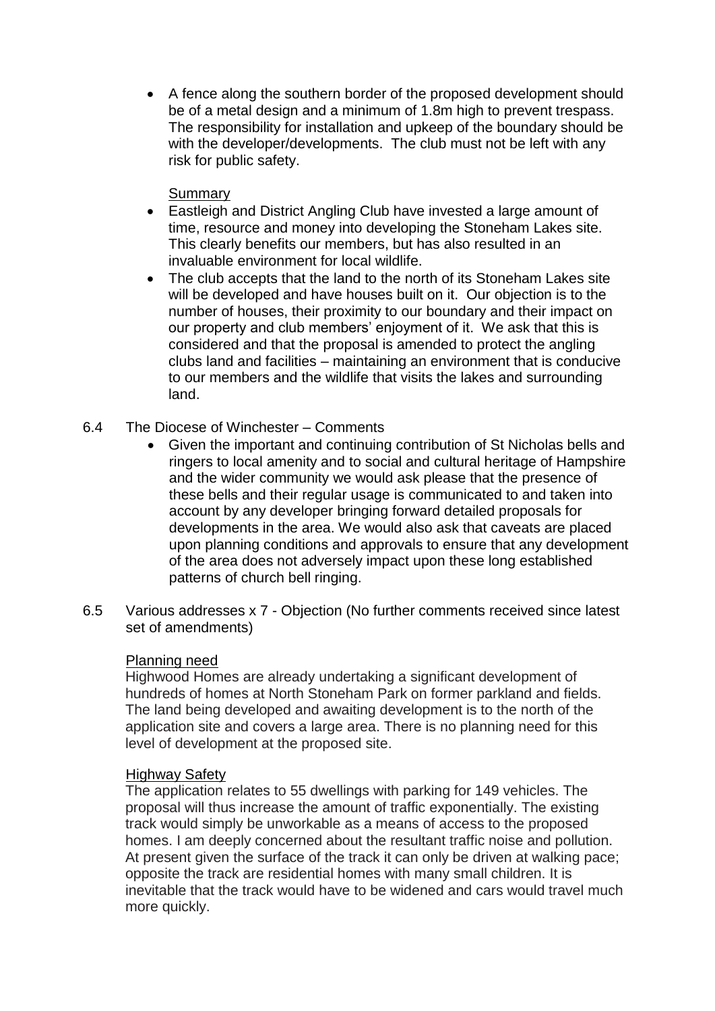A fence along the southern border of the proposed development should be of a metal design and a minimum of 1.8m high to prevent trespass. The responsibility for installation and upkeep of the boundary should be with the developer/developments. The club must not be left with any risk for public safety.

## **Summary**

- Eastleigh and District Angling Club have invested a large amount of time, resource and money into developing the Stoneham Lakes site. This clearly benefits our members, but has also resulted in an invaluable environment for local wildlife.
- The club accepts that the land to the north of its Stoneham Lakes site will be developed and have houses built on it. Our objection is to the number of houses, their proximity to our boundary and their impact on our property and club members' enjoyment of it. We ask that this is considered and that the proposal is amended to protect the angling clubs land and facilities – maintaining an environment that is conducive to our members and the wildlife that visits the lakes and surrounding land.
- 6.4 The Diocese of Winchester Comments
	- Given the important and continuing contribution of St Nicholas bells and ringers to local amenity and to social and cultural heritage of Hampshire and the wider community we would ask please that the presence of these bells and their regular usage is communicated to and taken into account by any developer bringing forward detailed proposals for developments in the area. We would also ask that caveats are placed upon planning conditions and approvals to ensure that any development of the area does not adversely impact upon these long established patterns of church bell ringing.
- 6.5 Various addresses x 7 Objection (No further comments received since latest set of amendments)

## Planning need

Highwood Homes are already undertaking a significant development of hundreds of homes at North Stoneham Park on former parkland and fields. The land being developed and awaiting development is to the north of the application site and covers a large area. There is no planning need for this level of development at the proposed site.

## Highway Safety

The application relates to 55 dwellings with parking for 149 vehicles. The proposal will thus increase the amount of traffic exponentially. The existing track would simply be unworkable as a means of access to the proposed homes. I am deeply concerned about the resultant traffic noise and pollution. At present given the surface of the track it can only be driven at walking pace; opposite the track are residential homes with many small children. It is inevitable that the track would have to be widened and cars would travel much more quickly.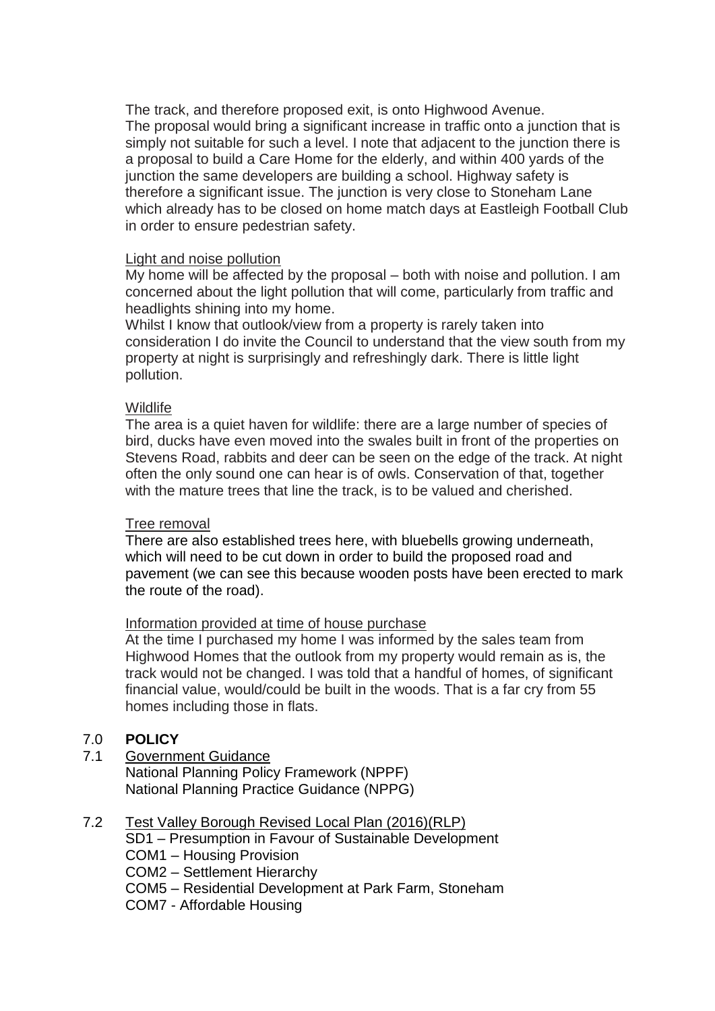The track, and therefore proposed exit, is onto Highwood Avenue. The proposal would bring a significant increase in traffic onto a junction that is simply not suitable for such a level. I note that adjacent to the junction there is a proposal to build a Care Home for the elderly, and within 400 yards of the junction the same developers are building a school. Highway safety is therefore a significant issue. The junction is very close to Stoneham Lane which already has to be closed on home match days at Eastleigh Football Club in order to ensure pedestrian safety.

#### Light and noise pollution

My home will be affected by the proposal – both with noise and pollution. I am concerned about the light pollution that will come, particularly from traffic and headlights shining into my home.

Whilst I know that outlook/view from a property is rarely taken into consideration I do invite the Council to understand that the view south from my property at night is surprisingly and refreshingly dark. There is little light pollution.

#### **Wildlife**

The area is a quiet haven for wildlife: there are a large number of species of bird, ducks have even moved into the swales built in front of the properties on Stevens Road, rabbits and deer can be seen on the edge of the track. At night often the only sound one can hear is of owls. Conservation of that, together with the mature trees that line the track, is to be valued and cherished.

## Tree removal

There are also established trees here, with bluebells growing underneath, which will need to be cut down in order to build the proposed road and pavement (we can see this because wooden posts have been erected to mark the route of the road).

#### Information provided at time of house purchase

At the time I purchased my home I was informed by the sales team from Highwood Homes that the outlook from my property would remain as is, the track would not be changed. I was told that a handful of homes, of significant financial value, would/could be built in the woods. That is a far cry from 55 homes including those in flats.

## 7.0 **POLICY**

7.1 Government Guidance National Planning Policy Framework (NPPF) National Planning Practice Guidance (NPPG)

# 7.2 Test Valley Borough Revised Local Plan (2016)(RLP)

- SD1 Presumption in Favour of Sustainable Development
- COM1 Housing Provision
- COM2 Settlement Hierarchy
- COM5 Residential Development at Park Farm, Stoneham
- COM7 Affordable Housing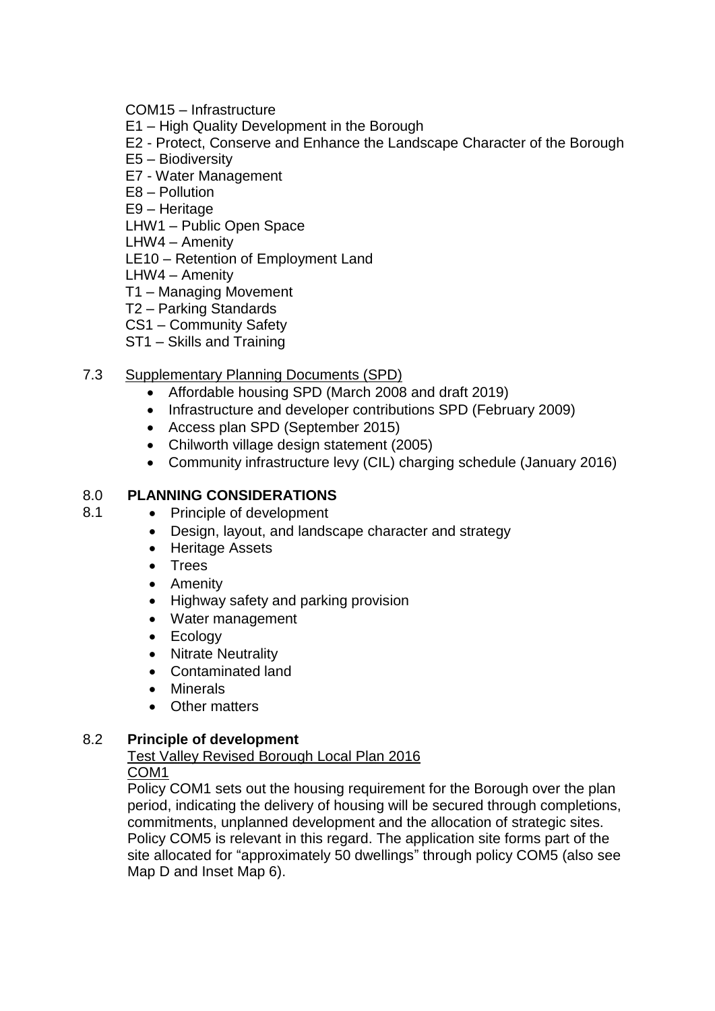COM15 – Infrastructure

E1 – High Quality Development in the Borough

E2 - Protect, Conserve and Enhance the Landscape Character of the Borough

- E5 Biodiversity
- E7 Water Management

E8 – Pollution

E9 – Heritage

LHW1 – Public Open Space

LHW4 – Amenity

LE10 – Retention of Employment Land

LHW4 – Amenity

T1 – Managing Movement

- T2 Parking Standards
- CS1 Community Safety
- ST1 Skills and Training

# 7.3 Supplementary Planning Documents (SPD)

- Affordable housing SPD (March 2008 and draft 2019)
- Infrastructure and developer contributions SPD (February 2009)
- Access plan SPD (September 2015)
- Chilworth village design statement (2005)
- Community infrastructure levy (CIL) charging schedule (January 2016)

## 8.0 **PLANNING CONSIDERATIONS**

- 8.1 Principle of development
	- Design, layout, and landscape character and strategy
	- Heritage Assets
	- Trees
	- Amenity
	- Highway safety and parking provision
	- Water management
	- Ecology
	- Nitrate Neutrality
	- Contaminated land
	- Minerals
	- Other matters

## 8.2 **Principle of development**

#### Test Valley Revised Borough Local Plan 2016 COM1

Policy COM1 sets out the housing requirement for the Borough over the plan period, indicating the delivery of housing will be secured through completions, commitments, unplanned development and the allocation of strategic sites. Policy COM5 is relevant in this regard. The application site forms part of the site allocated for "approximately 50 dwellings" through policy COM5 (also see Map D and Inset Map 6).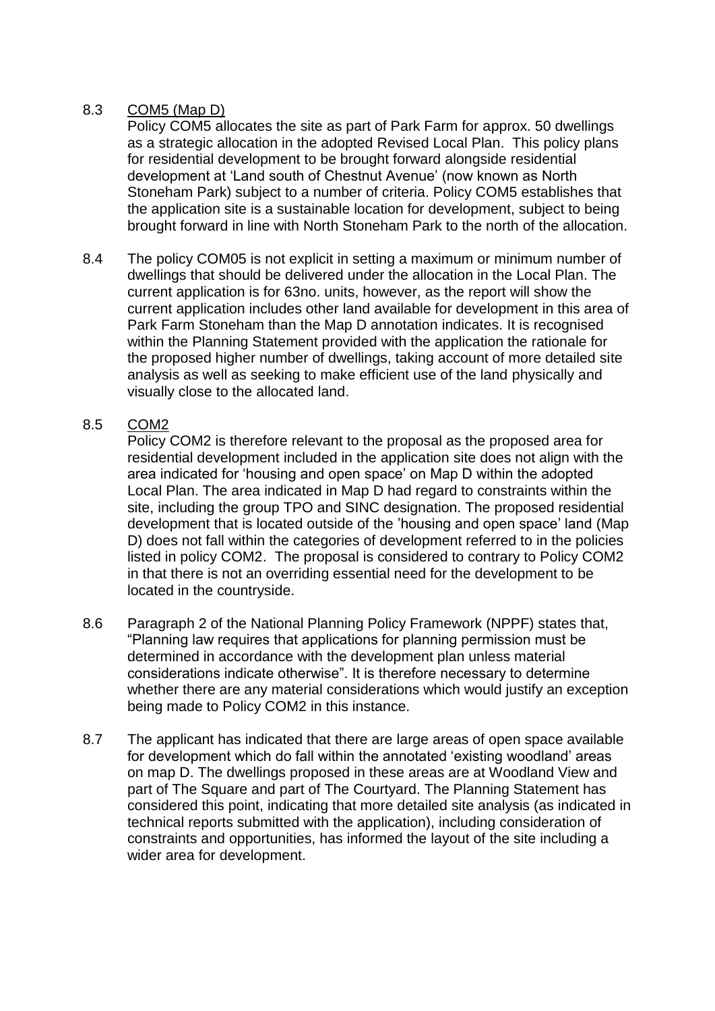# 8.3 COM5 (Map D)

Policy COM5 allocates the site as part of Park Farm for approx. 50 dwellings as a strategic allocation in the adopted Revised Local Plan. This policy plans for residential development to be brought forward alongside residential development at 'Land south of Chestnut Avenue' (now known as North Stoneham Park) subject to a number of criteria. Policy COM5 establishes that the application site is a sustainable location for development, subject to being brought forward in line with North Stoneham Park to the north of the allocation.

8.4 The policy COM05 is not explicit in setting a maximum or minimum number of dwellings that should be delivered under the allocation in the Local Plan. The current application is for 63no. units, however, as the report will show the current application includes other land available for development in this area of Park Farm Stoneham than the Map D annotation indicates. It is recognised within the Planning Statement provided with the application the rationale for the proposed higher number of dwellings, taking account of more detailed site analysis as well as seeking to make efficient use of the land physically and visually close to the allocated land.

## 8.5 COM2

Policy COM2 is therefore relevant to the proposal as the proposed area for residential development included in the application site does not align with the area indicated for 'housing and open space' on Map D within the adopted Local Plan. The area indicated in Map D had regard to constraints within the site, including the group TPO and SINC designation. The proposed residential development that is located outside of the 'housing and open space' land (Map D) does not fall within the categories of development referred to in the policies listed in policy COM2. The proposal is considered to contrary to Policy COM2 in that there is not an overriding essential need for the development to be located in the countryside.

- 8.6 Paragraph 2 of the National Planning Policy Framework (NPPF) states that, "Planning law requires that applications for planning permission must be determined in accordance with the development plan unless material considerations indicate otherwise". It is therefore necessary to determine whether there are any material considerations which would justify an exception being made to Policy COM2 in this instance.
- 8.7 The applicant has indicated that there are large areas of open space available for development which do fall within the annotated 'existing woodland' areas on map D. The dwellings proposed in these areas are at Woodland View and part of The Square and part of The Courtyard. The Planning Statement has considered this point, indicating that more detailed site analysis (as indicated in technical reports submitted with the application), including consideration of constraints and opportunities, has informed the layout of the site including a wider area for development.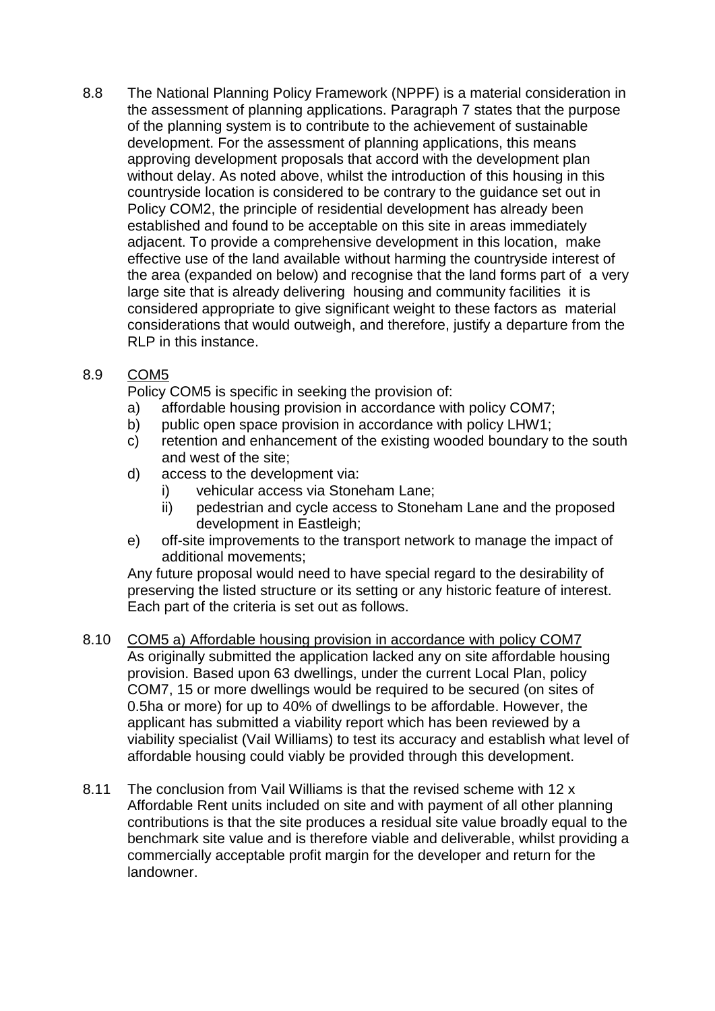8.8 The National Planning Policy Framework (NPPF) is a material consideration in the assessment of planning applications. Paragraph 7 states that the purpose of the planning system is to contribute to the achievement of sustainable development. For the assessment of planning applications, this means approving development proposals that accord with the development plan without delay. As noted above, whilst the introduction of this housing in this countryside location is considered to be contrary to the guidance set out in Policy COM2, the principle of residential development has already been established and found to be acceptable on this site in areas immediately adjacent. To provide a comprehensive development in this location, make effective use of the land available without harming the countryside interest of the area (expanded on below) and recognise that the land forms part of a very large site that is already delivering housing and community facilities it is considered appropriate to give significant weight to these factors as material considerations that would outweigh, and therefore, justify a departure from the RLP in this instance.

# 8.9 COM5

Policy COM5 is specific in seeking the provision of:

- a) affordable housing provision in accordance with policy COM7;
- b) public open space provision in accordance with policy LHW1;
- c) retention and enhancement of the existing wooded boundary to the south and west of the site;
- d) access to the development via:
	- i) vehicular access via Stoneham Lane;
	- ii) pedestrian and cycle access to Stoneham Lane and the proposed development in Eastleigh;
- e) off-site improvements to the transport network to manage the impact of additional movements;

Any future proposal would need to have special regard to the desirability of preserving the listed structure or its setting or any historic feature of interest. Each part of the criteria is set out as follows.

- 8.10 COM5 a) Affordable housing provision in accordance with policy COM7 As originally submitted the application lacked any on site affordable housing provision. Based upon 63 dwellings, under the current Local Plan, policy COM7, 15 or more dwellings would be required to be secured (on sites of 0.5ha or more) for up to 40% of dwellings to be affordable. However, the applicant has submitted a viability report which has been reviewed by a viability specialist (Vail Williams) to test its accuracy and establish what level of affordable housing could viably be provided through this development.
- 8.11 The conclusion from Vail Williams is that the revised scheme with 12 x Affordable Rent units included on site and with payment of all other planning contributions is that the site produces a residual site value broadly equal to the benchmark site value and is therefore viable and deliverable, whilst providing a commercially acceptable profit margin for the developer and return for the landowner.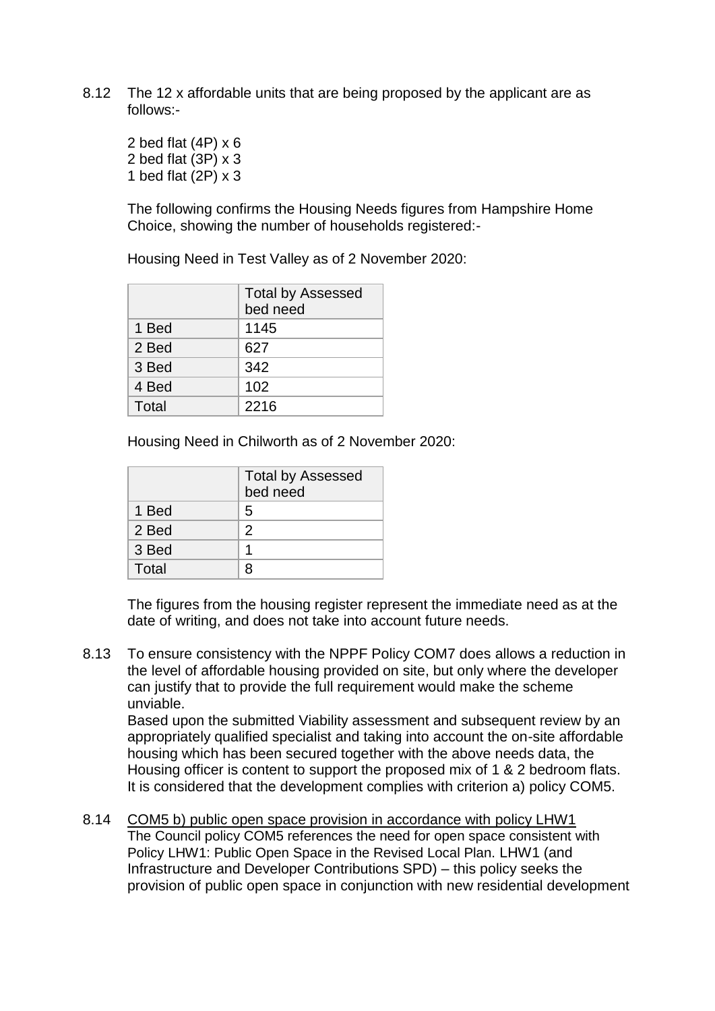8.12 The 12 x affordable units that are being proposed by the applicant are as follows:-

2 bed flat  $(4P) \times 6$ 2 bed flat (3P) x 3 1 bed flat (2P) x 3

The following confirms the Housing Needs figures from Hampshire Home Choice, showing the number of households registered:-

Housing Need in Test Valley as of 2 November 2020:

|       | <b>Total by Assessed</b> |  |  |  |  |
|-------|--------------------------|--|--|--|--|
|       | bed need                 |  |  |  |  |
| 1 Bed | 1145                     |  |  |  |  |
| 2 Bed | 627                      |  |  |  |  |
| 3 Bed | 342                      |  |  |  |  |
| 4 Bed | 102                      |  |  |  |  |
| Total | 2216                     |  |  |  |  |

Housing Need in Chilworth as of 2 November 2020:

|       | <b>Total by Assessed</b><br>bed need |  |  |  |
|-------|--------------------------------------|--|--|--|
| 1 Bed | 5                                    |  |  |  |
| 2 Bed | 2                                    |  |  |  |
| 3 Bed |                                      |  |  |  |
| Total |                                      |  |  |  |

The figures from the housing register represent the immediate need as at the date of writing, and does not take into account future needs.

8.13 To ensure consistency with the NPPF Policy COM7 does allows a reduction in the level of affordable housing provided on site, but only where the developer can justify that to provide the full requirement would make the scheme unviable.

Based upon the submitted Viability assessment and subsequent review by an appropriately qualified specialist and taking into account the on-site affordable housing which has been secured together with the above needs data, the Housing officer is content to support the proposed mix of 1 & 2 bedroom flats. It is considered that the development complies with criterion a) policy COM5.

8.14 COM5 b) public open space provision in accordance with policy LHW1 The Council policy COM5 references the need for open space consistent with Policy LHW1: Public Open Space in the Revised Local Plan. LHW1 (and Infrastructure and Developer Contributions SPD) – this policy seeks the provision of public open space in conjunction with new residential development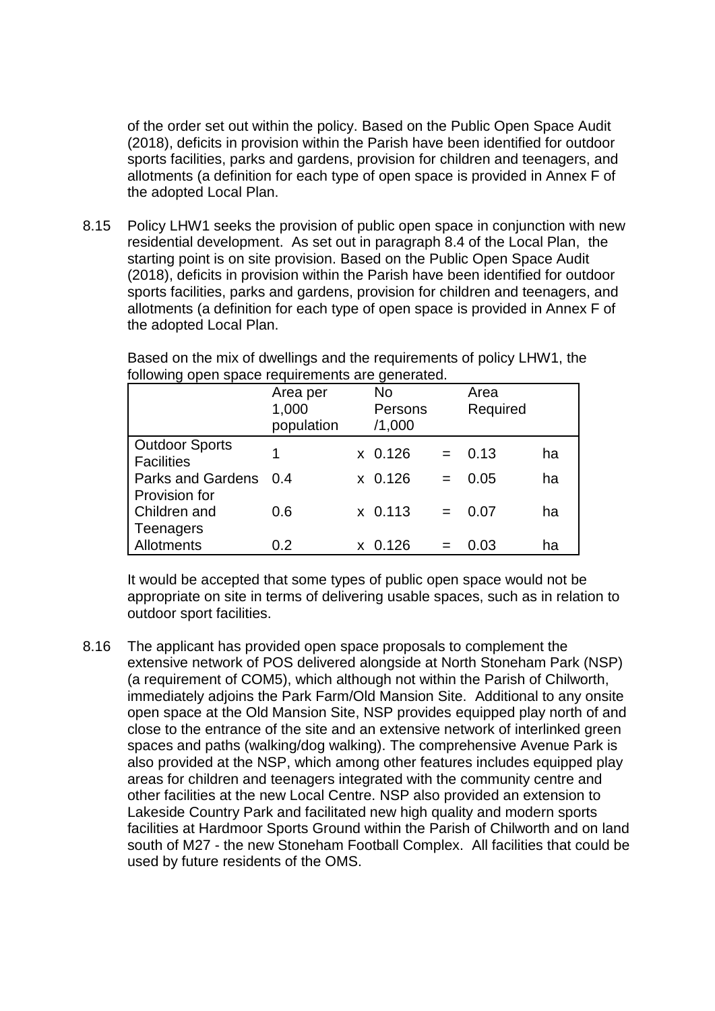of the order set out within the policy. Based on the Public Open Space Audit (2018), deficits in provision within the Parish have been identified for outdoor sports facilities, parks and gardens, provision for children and teenagers, and allotments (a definition for each type of open space is provided in Annex F of the adopted Local Plan.

8.15 Policy LHW1 seeks the provision of public open space in conjunction with new residential development. As set out in paragraph 8.4 of the Local Plan, the starting point is on site provision. Based on the Public Open Space Audit (2018), deficits in provision within the Parish have been identified for outdoor sports facilities, parks and gardens, provision for children and teenagers, and allotments (a definition for each type of open space is provided in Annex F of the adopted Local Plan.

Based on the mix of dwellings and the requirements of policy LHW1, the following open space requirements are generated.

|                                            | Area per<br>1,000<br>population |    | <b>No</b><br>Persons<br>/1,000 |     | Area<br>Required |    |
|--------------------------------------------|---------------------------------|----|--------------------------------|-----|------------------|----|
| <b>Outdoor Sports</b><br><b>Facilities</b> | 1                               |    | $x$ 0.126                      | $=$ | 0.13             | ha |
| <b>Parks and Gardens</b><br>Provision for  | 0.4                             |    | $x$ 0.126                      | $=$ | 0.05             | ha |
| Children and<br>Teenagers                  | 0.6                             |    | $x$ 0.113                      | $=$ | 0.07             | ha |
| Allotments                                 | 0.2                             | X. | 0.126                          |     | 0.03             | ha |

It would be accepted that some types of public open space would not be appropriate on site in terms of delivering usable spaces, such as in relation to outdoor sport facilities.

8.16 The applicant has provided open space proposals to complement the extensive network of POS delivered alongside at North Stoneham Park (NSP) (a requirement of COM5), which although not within the Parish of Chilworth, immediately adjoins the Park Farm/Old Mansion Site. Additional to any onsite open space at the Old Mansion Site, NSP provides equipped play north of and close to the entrance of the site and an extensive network of interlinked green spaces and paths (walking/dog walking). The comprehensive Avenue Park is also provided at the NSP, which among other features includes equipped play areas for children and teenagers integrated with the community centre and other facilities at the new Local Centre. NSP also provided an extension to Lakeside Country Park and facilitated new high quality and modern sports facilities at Hardmoor Sports Ground within the Parish of Chilworth and on land south of M27 - the new Stoneham Football Complex. All facilities that could be used by future residents of the OMS.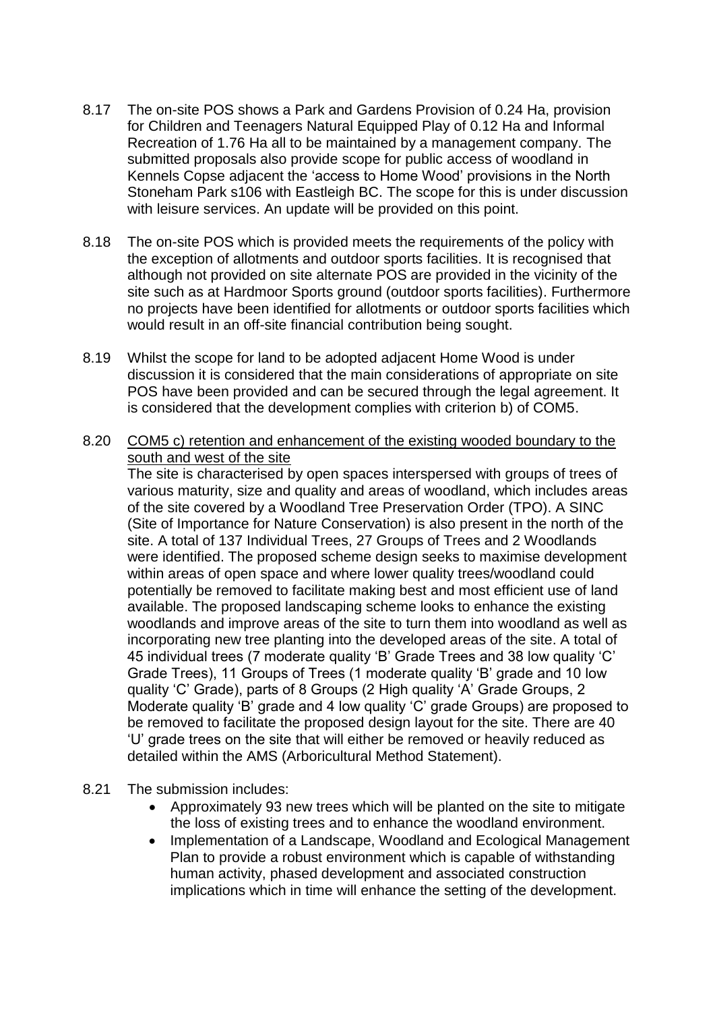- 8.17 The on-site POS shows a Park and Gardens Provision of 0.24 Ha, provision for Children and Teenagers Natural Equipped Play of 0.12 Ha and Informal Recreation of 1.76 Ha all to be maintained by a management company. The submitted proposals also provide scope for public access of woodland in Kennels Copse adjacent the 'access to Home Wood' provisions in the North Stoneham Park s106 with Eastleigh BC. The scope for this is under discussion with leisure services. An update will be provided on this point.
- 8.18 The on-site POS which is provided meets the requirements of the policy with the exception of allotments and outdoor sports facilities. It is recognised that although not provided on site alternate POS are provided in the vicinity of the site such as at Hardmoor Sports ground (outdoor sports facilities). Furthermore no projects have been identified for allotments or outdoor sports facilities which would result in an off-site financial contribution being sought.
- 8.19 Whilst the scope for land to be adopted adjacent Home Wood is under discussion it is considered that the main considerations of appropriate on site POS have been provided and can be secured through the legal agreement. It is considered that the development complies with criterion b) of COM5.
- 8.20 COM5 c) retention and enhancement of the existing wooded boundary to the south and west of the site

The site is characterised by open spaces interspersed with groups of trees of various maturity, size and quality and areas of woodland, which includes areas of the site covered by a Woodland Tree Preservation Order (TPO). A SINC (Site of Importance for Nature Conservation) is also present in the north of the site. A total of 137 Individual Trees, 27 Groups of Trees and 2 Woodlands were identified. The proposed scheme design seeks to maximise development within areas of open space and where lower quality trees/woodland could potentially be removed to facilitate making best and most efficient use of land available. The proposed landscaping scheme looks to enhance the existing woodlands and improve areas of the site to turn them into woodland as well as incorporating new tree planting into the developed areas of the site. A total of 45 individual trees (7 moderate quality 'B' Grade Trees and 38 low quality 'C' Grade Trees), 11 Groups of Trees (1 moderate quality 'B' grade and 10 low quality 'C' Grade), parts of 8 Groups (2 High quality 'A' Grade Groups, 2 Moderate quality 'B' grade and 4 low quality 'C' grade Groups) are proposed to be removed to facilitate the proposed design layout for the site. There are 40 'U' grade trees on the site that will either be removed or heavily reduced as detailed within the AMS (Arboricultural Method Statement).

- 8.21 The submission includes:
	- Approximately 93 new trees which will be planted on the site to mitigate the loss of existing trees and to enhance the woodland environment.
	- Implementation of a Landscape, Woodland and Ecological Management Plan to provide a robust environment which is capable of withstanding human activity, phased development and associated construction implications which in time will enhance the setting of the development.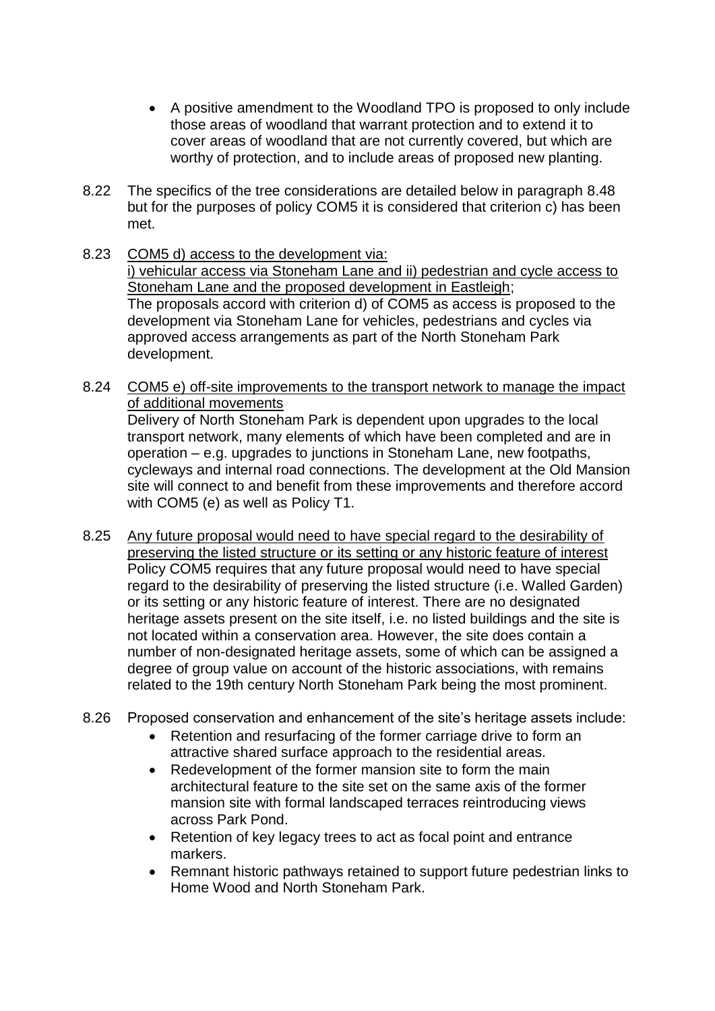- A positive amendment to the Woodland TPO is proposed to only include those areas of woodland that warrant protection and to extend it to cover areas of woodland that are not currently covered, but which are worthy of protection, and to include areas of proposed new planting.
- 8.22 The specifics of the tree considerations are detailed below in paragraph 8.48 but for the purposes of policy COM5 it is considered that criterion c) has been met.
- 8.23 COM5 d) access to the development via: i) vehicular access via Stoneham Lane and ii) pedestrian and cycle access to Stoneham Lane and the proposed development in Eastleigh; The proposals accord with criterion d) of COM5 as access is proposed to the development via Stoneham Lane for vehicles, pedestrians and cycles via approved access arrangements as part of the North Stoneham Park development.
- 8.24 COM5 e) off-site improvements to the transport network to manage the impact of additional movements Delivery of North Stoneham Park is dependent upon upgrades to the local transport network, many elements of which have been completed and are in operation – e.g. upgrades to junctions in Stoneham Lane, new footpaths, cycleways and internal road connections. The development at the Old Mansion site will connect to and benefit from these improvements and therefore accord with COM5 (e) as well as Policy T1.
- 8.25 Any future proposal would need to have special regard to the desirability of preserving the listed structure or its setting or any historic feature of interest Policy COM5 requires that any future proposal would need to have special regard to the desirability of preserving the listed structure (i.e. Walled Garden) or its setting or any historic feature of interest. There are no designated heritage assets present on the site itself, i.e. no listed buildings and the site is not located within a conservation area. However, the site does contain a number of non-designated heritage assets, some of which can be assigned a degree of group value on account of the historic associations, with remains related to the 19th century North Stoneham Park being the most prominent.
- 8.26 Proposed conservation and enhancement of the site's heritage assets include:
	- Retention and resurfacing of the former carriage drive to form an attractive shared surface approach to the residential areas.
	- Redevelopment of the former mansion site to form the main architectural feature to the site set on the same axis of the former mansion site with formal landscaped terraces reintroducing views across Park Pond.
	- Retention of key legacy trees to act as focal point and entrance markers.
	- Remnant historic pathways retained to support future pedestrian links to Home Wood and North Stoneham Park.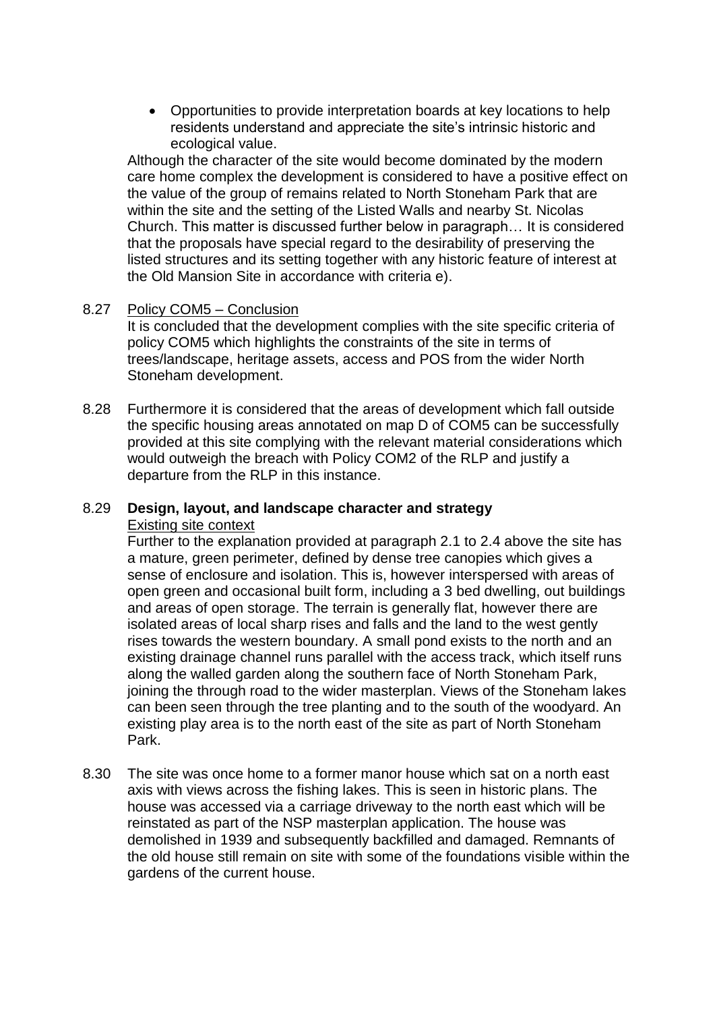Opportunities to provide interpretation boards at key locations to help residents understand and appreciate the site's intrinsic historic and ecological value.

Although the character of the site would become dominated by the modern care home complex the development is considered to have a positive effect on the value of the group of remains related to North Stoneham Park that are within the site and the setting of the Listed Walls and nearby St. Nicolas Church. This matter is discussed further below in paragraph… It is considered that the proposals have special regard to the desirability of preserving the listed structures and its setting together with any historic feature of interest at the Old Mansion Site in accordance with criteria e).

## 8.27 Policy COM5 – Conclusion

It is concluded that the development complies with the site specific criteria of policy COM5 which highlights the constraints of the site in terms of trees/landscape, heritage assets, access and POS from the wider North Stoneham development.

8.28 Furthermore it is considered that the areas of development which fall outside the specific housing areas annotated on map D of COM5 can be successfully provided at this site complying with the relevant material considerations which would outweigh the breach with Policy COM2 of the RLP and justify a departure from the RLP in this instance.

#### 8.29 **Design, layout, and landscape character and strategy**  Existing site context

Further to the explanation provided at paragraph 2.1 to 2.4 above the site has a mature, green perimeter, defined by dense tree canopies which gives a sense of enclosure and isolation. This is, however interspersed with areas of open green and occasional built form, including a 3 bed dwelling, out buildings and areas of open storage. The terrain is generally flat, however there are isolated areas of local sharp rises and falls and the land to the west gently rises towards the western boundary. A small pond exists to the north and an existing drainage channel runs parallel with the access track, which itself runs along the walled garden along the southern face of North Stoneham Park, joining the through road to the wider masterplan. Views of the Stoneham lakes can been seen through the tree planting and to the south of the woodyard. An existing play area is to the north east of the site as part of North Stoneham Park.

8.30 The site was once home to a former manor house which sat on a north east axis with views across the fishing lakes. This is seen in historic plans. The house was accessed via a carriage driveway to the north east which will be reinstated as part of the NSP masterplan application. The house was demolished in 1939 and subsequently backfilled and damaged. Remnants of the old house still remain on site with some of the foundations visible within the gardens of the current house.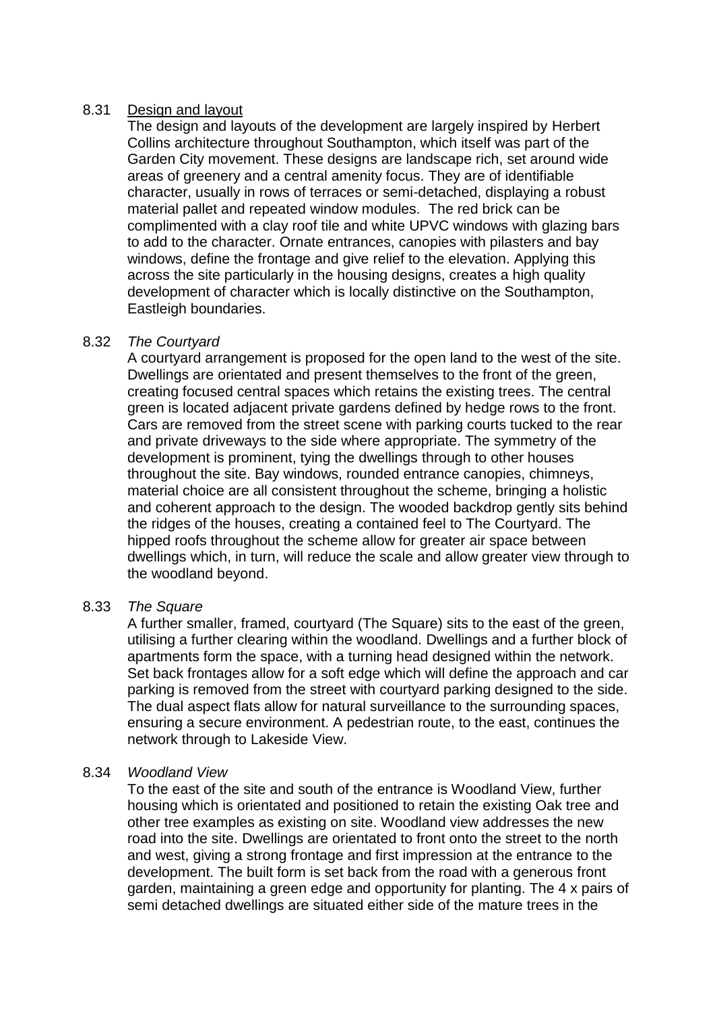## 8.31 Design and layout

The design and layouts of the development are largely inspired by Herbert Collins architecture throughout Southampton, which itself was part of the Garden City movement. These designs are landscape rich, set around wide areas of greenery and a central amenity focus. They are of identifiable character, usually in rows of terraces or semi-detached, displaying a robust material pallet and repeated window modules. The red brick can be complimented with a clay roof tile and white UPVC windows with glazing bars to add to the character. Ornate entrances, canopies with pilasters and bay windows, define the frontage and give relief to the elevation. Applying this across the site particularly in the housing designs, creates a high quality development of character which is locally distinctive on the Southampton, Eastleigh boundaries.

## 8.32 *The Courtyard*

A courtyard arrangement is proposed for the open land to the west of the site. Dwellings are orientated and present themselves to the front of the green, creating focused central spaces which retains the existing trees. The central green is located adjacent private gardens defined by hedge rows to the front. Cars are removed from the street scene with parking courts tucked to the rear and private driveways to the side where appropriate. The symmetry of the development is prominent, tying the dwellings through to other houses throughout the site. Bay windows, rounded entrance canopies, chimneys, material choice are all consistent throughout the scheme, bringing a holistic and coherent approach to the design. The wooded backdrop gently sits behind the ridges of the houses, creating a contained feel to The Courtyard. The hipped roofs throughout the scheme allow for greater air space between dwellings which, in turn, will reduce the scale and allow greater view through to the woodland beyond.

## 8.33 *The Square*

A further smaller, framed, courtyard (The Square) sits to the east of the green, utilising a further clearing within the woodland. Dwellings and a further block of apartments form the space, with a turning head designed within the network. Set back frontages allow for a soft edge which will define the approach and car parking is removed from the street with courtyard parking designed to the side. The dual aspect flats allow for natural surveillance to the surrounding spaces, ensuring a secure environment. A pedestrian route, to the east, continues the network through to Lakeside View.

## 8.34 *Woodland View*

To the east of the site and south of the entrance is Woodland View, further housing which is orientated and positioned to retain the existing Oak tree and other tree examples as existing on site. Woodland view addresses the new road into the site. Dwellings are orientated to front onto the street to the north and west, giving a strong frontage and first impression at the entrance to the development. The built form is set back from the road with a generous front garden, maintaining a green edge and opportunity for planting. The 4 x pairs of semi detached dwellings are situated either side of the mature trees in the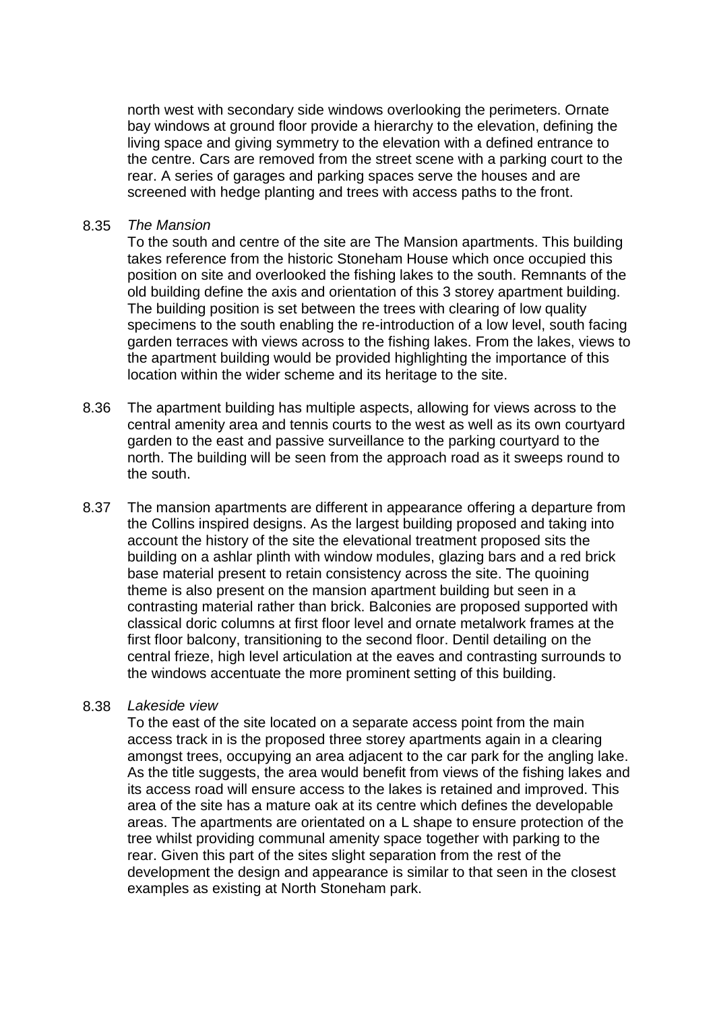north west with secondary side windows overlooking the perimeters. Ornate bay windows at ground floor provide a hierarchy to the elevation, defining the living space and giving symmetry to the elevation with a defined entrance to the centre. Cars are removed from the street scene with a parking court to the rear. A series of garages and parking spaces serve the houses and are screened with hedge planting and trees with access paths to the front.

#### 8.35 *The Mansion*

To the south and centre of the site are The Mansion apartments. This building takes reference from the historic Stoneham House which once occupied this position on site and overlooked the fishing lakes to the south. Remnants of the old building define the axis and orientation of this 3 storey apartment building. The building position is set between the trees with clearing of low quality specimens to the south enabling the re-introduction of a low level, south facing garden terraces with views across to the fishing lakes. From the lakes, views to the apartment building would be provided highlighting the importance of this location within the wider scheme and its heritage to the site.

- 8.36 The apartment building has multiple aspects, allowing for views across to the central amenity area and tennis courts to the west as well as its own courtyard garden to the east and passive surveillance to the parking courtyard to the north. The building will be seen from the approach road as it sweeps round to the south.
- 8.37 The mansion apartments are different in appearance offering a departure from the Collins inspired designs. As the largest building proposed and taking into account the history of the site the elevational treatment proposed sits the building on a ashlar plinth with window modules, glazing bars and a red brick base material present to retain consistency across the site. The quoining theme is also present on the mansion apartment building but seen in a contrasting material rather than brick. Balconies are proposed supported with classical doric columns at first floor level and ornate metalwork frames at the first floor balcony, transitioning to the second floor. Dentil detailing on the central frieze, high level articulation at the eaves and contrasting surrounds to the windows accentuate the more prominent setting of this building.

#### 8.38 *Lakeside view*

To the east of the site located on a separate access point from the main access track in is the proposed three storey apartments again in a clearing amongst trees, occupying an area adjacent to the car park for the angling lake. As the title suggests, the area would benefit from views of the fishing lakes and its access road will ensure access to the lakes is retained and improved. This area of the site has a mature oak at its centre which defines the developable areas. The apartments are orientated on a L shape to ensure protection of the tree whilst providing communal amenity space together with parking to the rear. Given this part of the sites slight separation from the rest of the development the design and appearance is similar to that seen in the closest examples as existing at North Stoneham park.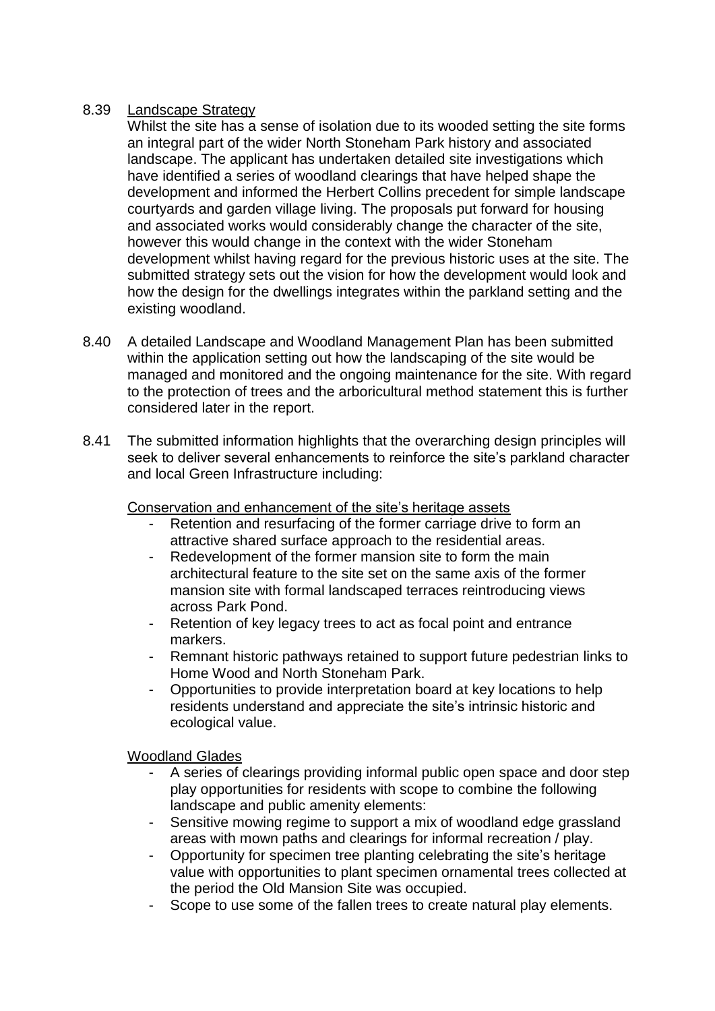# 8.39 Landscape Strategy

Whilst the site has a sense of isolation due to its wooded setting the site forms an integral part of the wider North Stoneham Park history and associated landscape. The applicant has undertaken detailed site investigations which have identified a series of woodland clearings that have helped shape the development and informed the Herbert Collins precedent for simple landscape courtyards and garden village living. The proposals put forward for housing and associated works would considerably change the character of the site, however this would change in the context with the wider Stoneham development whilst having regard for the previous historic uses at the site. The submitted strategy sets out the vision for how the development would look and how the design for the dwellings integrates within the parkland setting and the existing woodland.

- 8.40 A detailed Landscape and Woodland Management Plan has been submitted within the application setting out how the landscaping of the site would be managed and monitored and the ongoing maintenance for the site. With regard to the protection of trees and the arboricultural method statement this is further considered later in the report.
- 8.41 The submitted information highlights that the overarching design principles will seek to deliver several enhancements to reinforce the site's parkland character and local Green Infrastructure including:

Conservation and enhancement of the site's heritage assets

- Retention and resurfacing of the former carriage drive to form an attractive shared surface approach to the residential areas.
- Redevelopment of the former mansion site to form the main architectural feature to the site set on the same axis of the former mansion site with formal landscaped terraces reintroducing views across Park Pond.
- Retention of key legacy trees to act as focal point and entrance markers.
- Remnant historic pathways retained to support future pedestrian links to Home Wood and North Stoneham Park.
- Opportunities to provide interpretation board at key locations to help residents understand and appreciate the site's intrinsic historic and ecological value.

# Woodland Glades

- A series of clearings providing informal public open space and door step play opportunities for residents with scope to combine the following landscape and public amenity elements:
- Sensitive mowing regime to support a mix of woodland edge grassland areas with mown paths and clearings for informal recreation / play.
- Opportunity for specimen tree planting celebrating the site's heritage value with opportunities to plant specimen ornamental trees collected at the period the Old Mansion Site was occupied.
- Scope to use some of the fallen trees to create natural play elements.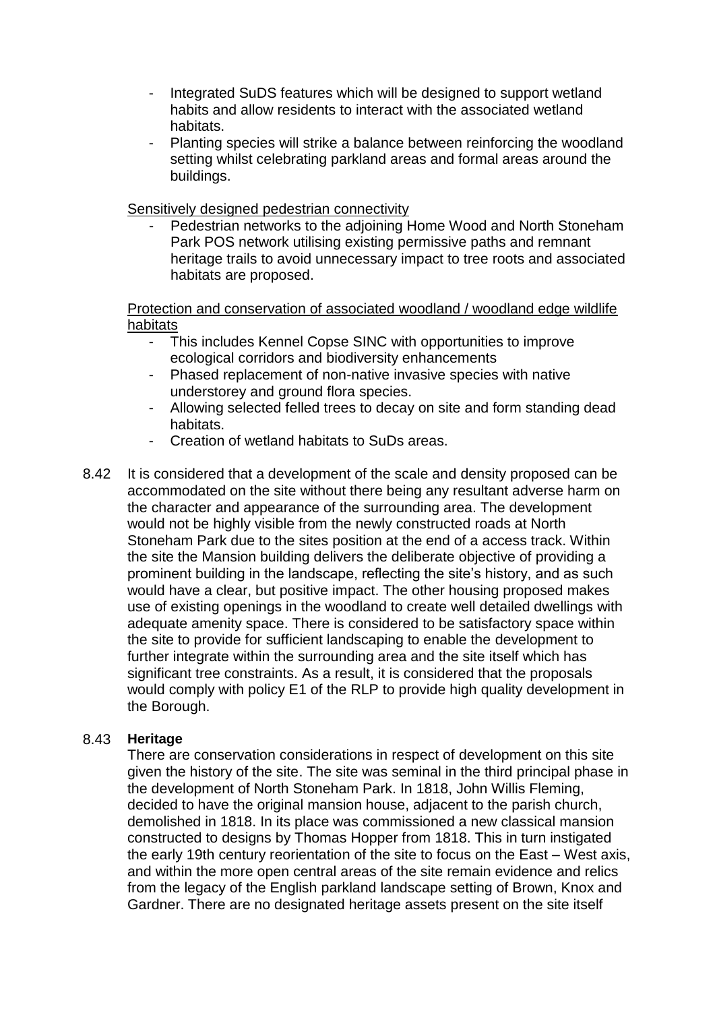- Integrated SuDS features which will be designed to support wetland habits and allow residents to interact with the associated wetland habitats.
- Planting species will strike a balance between reinforcing the woodland setting whilst celebrating parkland areas and formal areas around the buildings.

#### Sensitively designed pedestrian connectivity

Pedestrian networks to the adjoining Home Wood and North Stoneham Park POS network utilising existing permissive paths and remnant heritage trails to avoid unnecessary impact to tree roots and associated habitats are proposed.

Protection and conservation of associated woodland / woodland edge wildlife habitats

- This includes Kennel Copse SINC with opportunities to improve ecological corridors and biodiversity enhancements
- Phased replacement of non-native invasive species with native understorey and ground flora species.
- Allowing selected felled trees to decay on site and form standing dead habitats.
- Creation of wetland habitats to SuDs areas.
- 8.42 It is considered that a development of the scale and density proposed can be accommodated on the site without there being any resultant adverse harm on the character and appearance of the surrounding area. The development would not be highly visible from the newly constructed roads at North Stoneham Park due to the sites position at the end of a access track. Within the site the Mansion building delivers the deliberate objective of providing a prominent building in the landscape, reflecting the site's history, and as such would have a clear, but positive impact. The other housing proposed makes use of existing openings in the woodland to create well detailed dwellings with adequate amenity space. There is considered to be satisfactory space within the site to provide for sufficient landscaping to enable the development to further integrate within the surrounding area and the site itself which has significant tree constraints. As a result, it is considered that the proposals would comply with policy E1 of the RLP to provide high quality development in the Borough.

#### 8.43 **Heritage**

There are conservation considerations in respect of development on this site given the history of the site. The site was seminal in the third principal phase in the development of North Stoneham Park. In 1818, John Willis Fleming, decided to have the original mansion house, adjacent to the parish church, demolished in 1818. In its place was commissioned a new classical mansion constructed to designs by Thomas Hopper from 1818. This in turn instigated the early 19th century reorientation of the site to focus on the East – West axis, and within the more open central areas of the site remain evidence and relics from the legacy of the English parkland landscape setting of Brown, Knox and Gardner. There are no designated heritage assets present on the site itself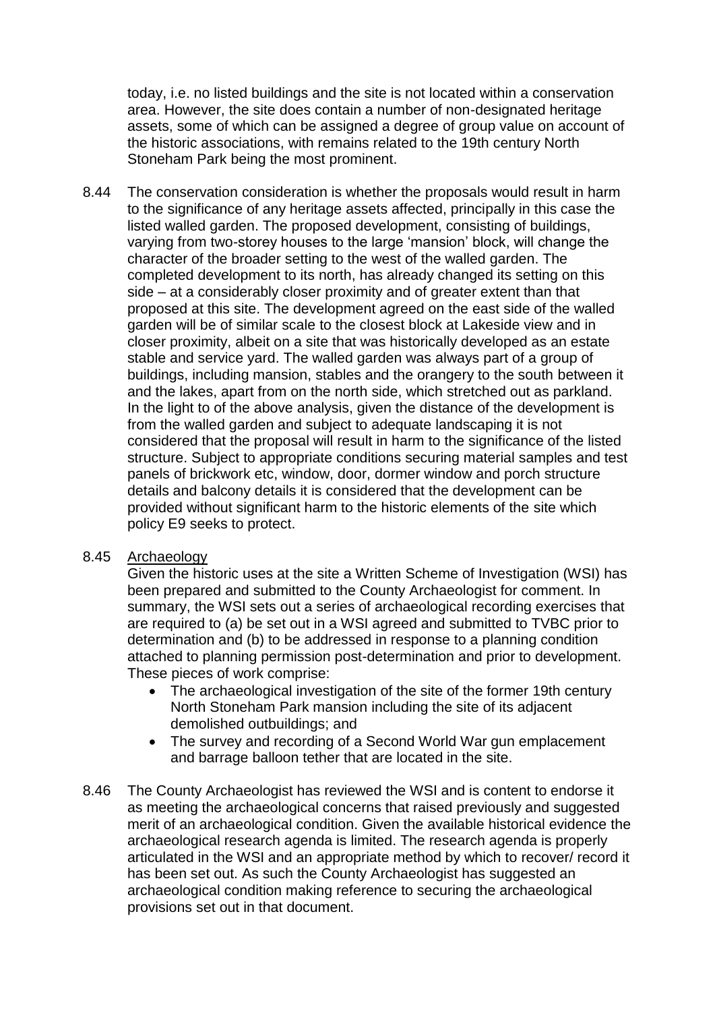today, i.e. no listed buildings and the site is not located within a conservation area. However, the site does contain a number of non-designated heritage assets, some of which can be assigned a degree of group value on account of the historic associations, with remains related to the 19th century North Stoneham Park being the most prominent.

8.44 The conservation consideration is whether the proposals would result in harm to the significance of any heritage assets affected, principally in this case the listed walled garden. The proposed development, consisting of buildings, varying from two-storey houses to the large 'mansion' block, will change the character of the broader setting to the west of the walled garden. The completed development to its north, has already changed its setting on this side – at a considerably closer proximity and of greater extent than that proposed at this site. The development agreed on the east side of the walled garden will be of similar scale to the closest block at Lakeside view and in closer proximity, albeit on a site that was historically developed as an estate stable and service yard. The walled garden was always part of a group of buildings, including mansion, stables and the orangery to the south between it and the lakes, apart from on the north side, which stretched out as parkland. In the light to of the above analysis, given the distance of the development is from the walled garden and subject to adequate landscaping it is not considered that the proposal will result in harm to the significance of the listed structure. Subject to appropriate conditions securing material samples and test panels of brickwork etc, window, door, dormer window and porch structure details and balcony details it is considered that the development can be provided without significant harm to the historic elements of the site which policy E9 seeks to protect.

## 8.45 Archaeology

Given the historic uses at the site a Written Scheme of Investigation (WSI) has been prepared and submitted to the County Archaeologist for comment. In summary, the WSI sets out a series of archaeological recording exercises that are required to (a) be set out in a WSI agreed and submitted to TVBC prior to determination and (b) to be addressed in response to a planning condition attached to planning permission post-determination and prior to development. These pieces of work comprise:

- The archaeological investigation of the site of the former 19th century North Stoneham Park mansion including the site of its adjacent demolished outbuildings; and
- The survey and recording of a Second World War gun emplacement and barrage balloon tether that are located in the site.
- 8.46 The County Archaeologist has reviewed the WSI and is content to endorse it as meeting the archaeological concerns that raised previously and suggested merit of an archaeological condition. Given the available historical evidence the archaeological research agenda is limited. The research agenda is properly articulated in the WSI and an appropriate method by which to recover/ record it has been set out. As such the County Archaeologist has suggested an archaeological condition making reference to securing the archaeological provisions set out in that document.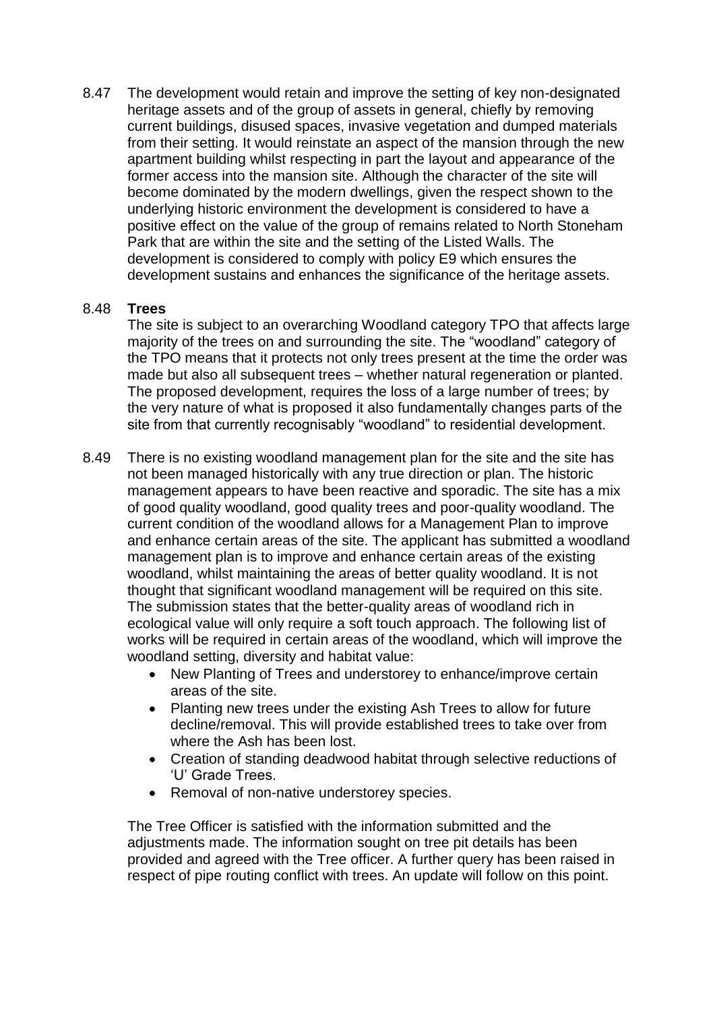8.47 The development would retain and improve the setting of key non-designated heritage assets and of the group of assets in general, chiefly by removing current buildings, disused spaces, invasive vegetation and dumped materials from their setting. It would reinstate an aspect of the mansion through the new apartment building whilst respecting in part the layout and appearance of the former access into the mansion site. Although the character of the site will become dominated by the modern dwellings, given the respect shown to the underlying historic environment the development is considered to have a positive effect on the value of the group of remains related to North Stoneham Park that are within the site and the setting of the Listed Walls. The development is considered to comply with policy E9 which ensures the development sustains and enhances the significance of the heritage assets.

## 8.48 **Trees**

The site is subject to an overarching Woodland category TPO that affects large majority of the trees on and surrounding the site. The "woodland" category of the TPO means that it protects not only trees present at the time the order was made but also all subsequent trees – whether natural regeneration or planted. The proposed development, requires the loss of a large number of trees; by the very nature of what is proposed it also fundamentally changes parts of the site from that currently recognisably "woodland" to residential development.

- 8.49 There is no existing woodland management plan for the site and the site has not been managed historically with any true direction or plan. The historic management appears to have been reactive and sporadic. The site has a mix of good quality woodland, good quality trees and poor-quality woodland. The current condition of the woodland allows for a Management Plan to improve and enhance certain areas of the site. The applicant has submitted a woodland management plan is to improve and enhance certain areas of the existing woodland, whilst maintaining the areas of better quality woodland. It is not thought that significant woodland management will be required on this site. The submission states that the better-quality areas of woodland rich in ecological value will only require a soft touch approach. The following list of works will be required in certain areas of the woodland, which will improve the woodland setting, diversity and habitat value:
	- New Planting of Trees and understorey to enhance/improve certain areas of the site.
	- Planting new trees under the existing Ash Trees to allow for future decline/removal. This will provide established trees to take over from where the Ash has been lost.
	- Creation of standing deadwood habitat through selective reductions of 'U' Grade Trees.
	- Removal of non-native understorey species.

The Tree Officer is satisfied with the information submitted and the adjustments made. The information sought on tree pit details has been provided and agreed with the Tree officer. A further query has been raised in respect of pipe routing conflict with trees. An update will follow on this point.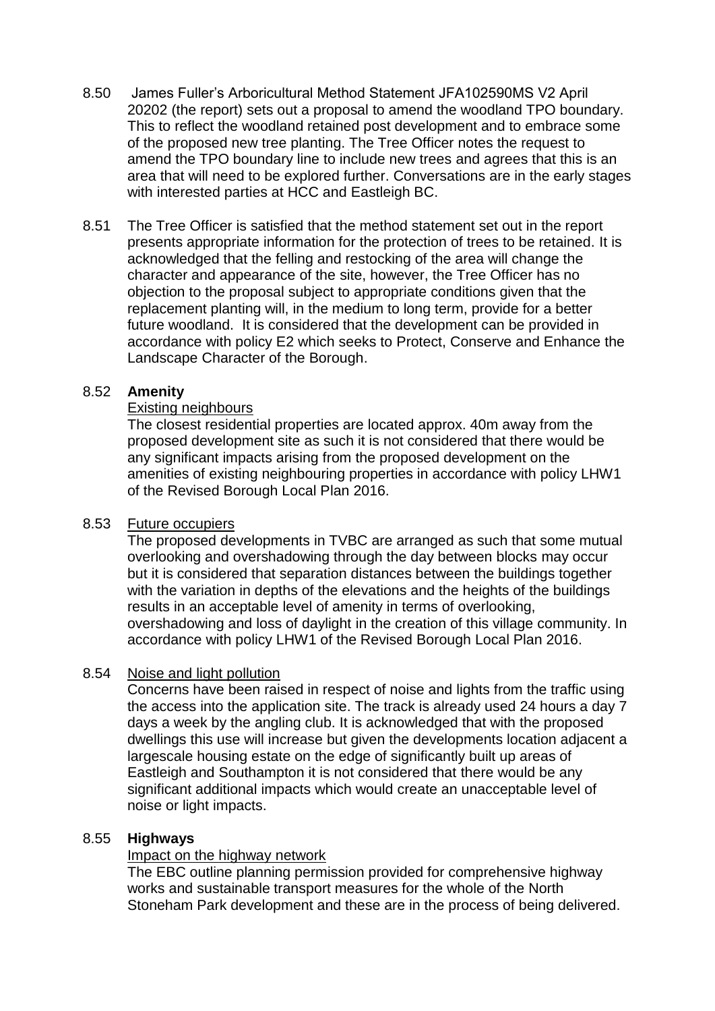- 8.50 James Fuller's Arboricultural Method Statement JFA102590MS V2 April 20202 (the report) sets out a proposal to amend the woodland TPO boundary. This to reflect the woodland retained post development and to embrace some of the proposed new tree planting. The Tree Officer notes the request to amend the TPO boundary line to include new trees and agrees that this is an area that will need to be explored further. Conversations are in the early stages with interested parties at HCC and Eastleigh BC.
- 8.51 The Tree Officer is satisfied that the method statement set out in the report presents appropriate information for the protection of trees to be retained. It is acknowledged that the felling and restocking of the area will change the character and appearance of the site, however, the Tree Officer has no objection to the proposal subject to appropriate conditions given that the replacement planting will, in the medium to long term, provide for a better future woodland. It is considered that the development can be provided in accordance with policy E2 which seeks to Protect, Conserve and Enhance the Landscape Character of the Borough.

## 8.52 **Amenity**

#### Existing neighbours

The closest residential properties are located approx. 40m away from the proposed development site as such it is not considered that there would be any significant impacts arising from the proposed development on the amenities of existing neighbouring properties in accordance with policy LHW1 of the Revised Borough Local Plan 2016.

## 8.53 Future occupiers

The proposed developments in TVBC are arranged as such that some mutual overlooking and overshadowing through the day between blocks may occur but it is considered that separation distances between the buildings together with the variation in depths of the elevations and the heights of the buildings results in an acceptable level of amenity in terms of overlooking, overshadowing and loss of daylight in the creation of this village community. In accordance with policy LHW1 of the Revised Borough Local Plan 2016.

## 8.54 Noise and light pollution

Concerns have been raised in respect of noise and lights from the traffic using the access into the application site. The track is already used 24 hours a day 7 days a week by the angling club. It is acknowledged that with the proposed dwellings this use will increase but given the developments location adjacent a largescale housing estate on the edge of significantly built up areas of Eastleigh and Southampton it is not considered that there would be any significant additional impacts which would create an unacceptable level of noise or light impacts.

## 8.55 **Highways**

#### Impact on the highway network

The EBC outline planning permission provided for comprehensive highway works and sustainable transport measures for the whole of the North Stoneham Park development and these are in the process of being delivered.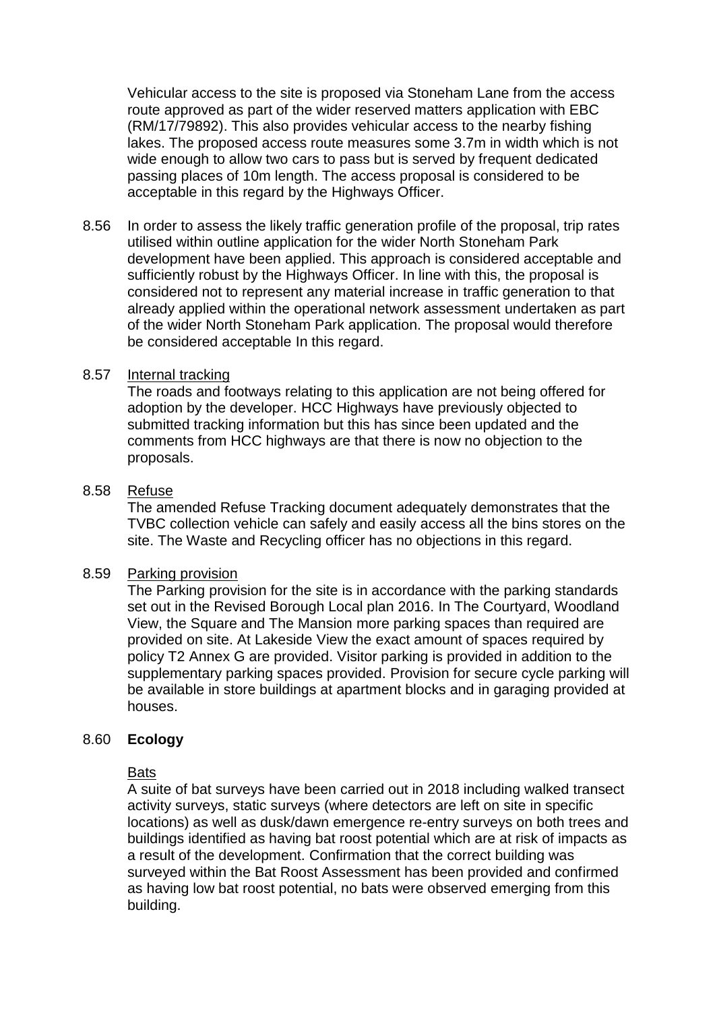Vehicular access to the site is proposed via Stoneham Lane from the access route approved as part of the wider reserved matters application with EBC (RM/17/79892). This also provides vehicular access to the nearby fishing lakes. The proposed access route measures some 3.7m in width which is not wide enough to allow two cars to pass but is served by frequent dedicated passing places of 10m length. The access proposal is considered to be acceptable in this regard by the Highways Officer.

8.56 In order to assess the likely traffic generation profile of the proposal, trip rates utilised within outline application for the wider North Stoneham Park development have been applied. This approach is considered acceptable and sufficiently robust by the Highways Officer. In line with this, the proposal is considered not to represent any material increase in traffic generation to that already applied within the operational network assessment undertaken as part of the wider North Stoneham Park application. The proposal would therefore be considered acceptable In this regard.

#### 8.57 Internal tracking

The roads and footways relating to this application are not being offered for adoption by the developer. HCC Highways have previously objected to submitted tracking information but this has since been updated and the comments from HCC highways are that there is now no objection to the proposals.

#### 8.58 Refuse

The amended Refuse Tracking document adequately demonstrates that the TVBC collection vehicle can safely and easily access all the bins stores on the site. The Waste and Recycling officer has no objections in this regard.

#### 8.59 Parking provision

The Parking provision for the site is in accordance with the parking standards set out in the Revised Borough Local plan 2016. In The Courtyard, Woodland View, the Square and The Mansion more parking spaces than required are provided on site. At Lakeside View the exact amount of spaces required by policy T2 Annex G are provided. Visitor parking is provided in addition to the supplementary parking spaces provided. Provision for secure cycle parking will be available in store buildings at apartment blocks and in garaging provided at houses.

#### 8.60 **Ecology**

#### Bats

A suite of bat surveys have been carried out in 2018 including walked transect activity surveys, static surveys (where detectors are left on site in specific locations) as well as dusk/dawn emergence re-entry surveys on both trees and buildings identified as having bat roost potential which are at risk of impacts as a result of the development. Confirmation that the correct building was surveyed within the Bat Roost Assessment has been provided and confirmed as having low bat roost potential, no bats were observed emerging from this building.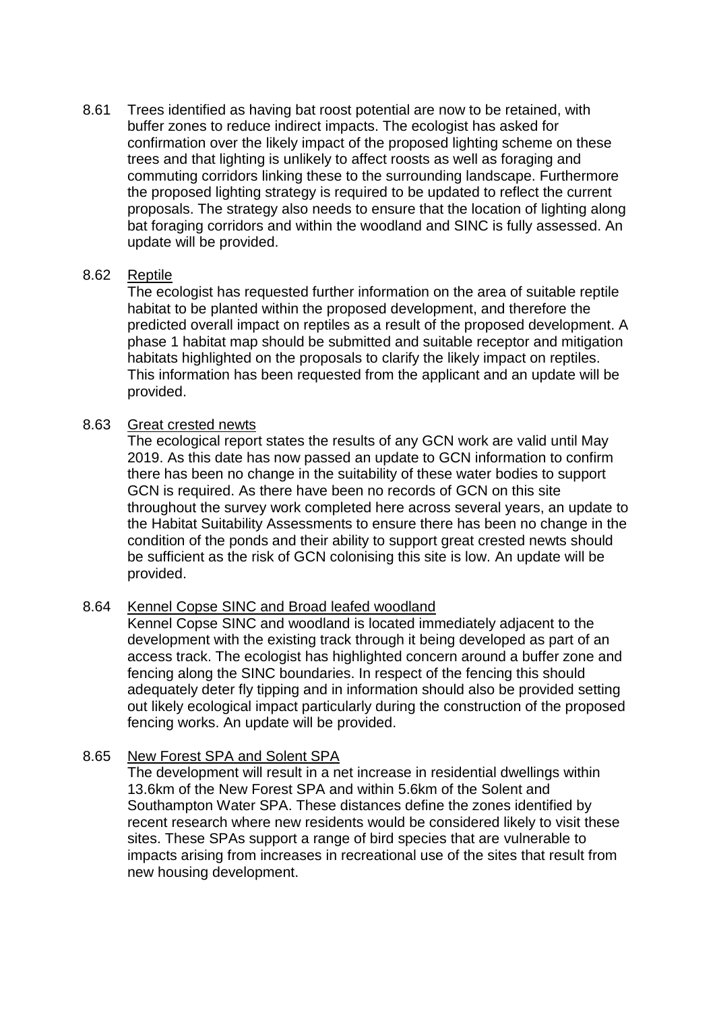8.61 Trees identified as having bat roost potential are now to be retained, with buffer zones to reduce indirect impacts. The ecologist has asked for confirmation over the likely impact of the proposed lighting scheme on these trees and that lighting is unlikely to affect roosts as well as foraging and commuting corridors linking these to the surrounding landscape. Furthermore the proposed lighting strategy is required to be updated to reflect the current proposals. The strategy also needs to ensure that the location of lighting along bat foraging corridors and within the woodland and SINC is fully assessed. An update will be provided.

## 8.62 Reptile

The ecologist has requested further information on the area of suitable reptile habitat to be planted within the proposed development, and therefore the predicted overall impact on reptiles as a result of the proposed development. A phase 1 habitat map should be submitted and suitable receptor and mitigation habitats highlighted on the proposals to clarify the likely impact on reptiles. This information has been requested from the applicant and an update will be provided.

#### 8.63 Great crested newts

The ecological report states the results of any GCN work are valid until May 2019. As this date has now passed an update to GCN information to confirm there has been no change in the suitability of these water bodies to support GCN is required. As there have been no records of GCN on this site throughout the survey work completed here across several years, an update to the Habitat Suitability Assessments to ensure there has been no change in the condition of the ponds and their ability to support great crested newts should be sufficient as the risk of GCN colonising this site is low. An update will be provided.

## 8.64 Kennel Copse SINC and Broad leafed woodland

Kennel Copse SINC and woodland is located immediately adjacent to the development with the existing track through it being developed as part of an access track. The ecologist has highlighted concern around a buffer zone and fencing along the SINC boundaries. In respect of the fencing this should adequately deter fly tipping and in information should also be provided setting out likely ecological impact particularly during the construction of the proposed fencing works. An update will be provided.

## 8.65 New Forest SPA and Solent SPA

The development will result in a net increase in residential dwellings within 13.6km of the New Forest SPA and within 5.6km of the Solent and Southampton Water SPA. These distances define the zones identified by recent research where new residents would be considered likely to visit these sites. These SPAs support a range of bird species that are vulnerable to impacts arising from increases in recreational use of the sites that result from new housing development.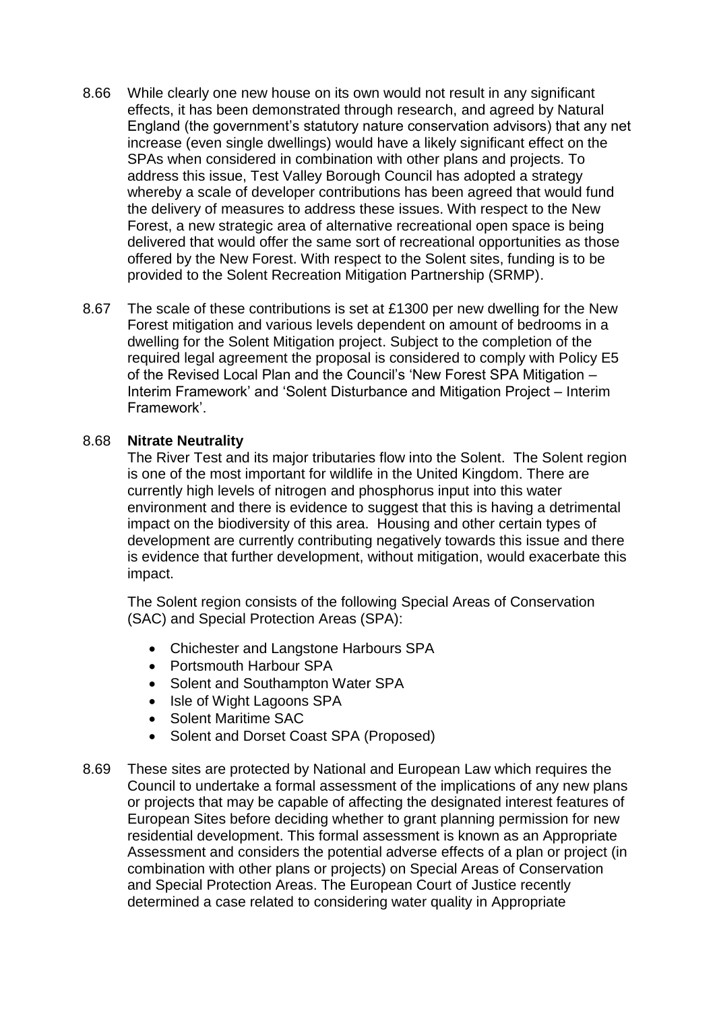- 8.66 While clearly one new house on its own would not result in any significant effects, it has been demonstrated through research, and agreed by Natural England (the government's statutory nature conservation advisors) that any net increase (even single dwellings) would have a likely significant effect on the SPAs when considered in combination with other plans and projects. To address this issue, Test Valley Borough Council has adopted a strategy whereby a scale of developer contributions has been agreed that would fund the delivery of measures to address these issues. With respect to the New Forest, a new strategic area of alternative recreational open space is being delivered that would offer the same sort of recreational opportunities as those offered by the New Forest. With respect to the Solent sites, funding is to be provided to the Solent Recreation Mitigation Partnership (SRMP).
- 8.67 The scale of these contributions is set at £1300 per new dwelling for the New Forest mitigation and various levels dependent on amount of bedrooms in a dwelling for the Solent Mitigation project. Subject to the completion of the required legal agreement the proposal is considered to comply with Policy E5 of the Revised Local Plan and the Council's 'New Forest SPA Mitigation – Interim Framework' and 'Solent Disturbance and Mitigation Project – Interim Framework'.

## 8.68 **Nitrate Neutrality**

The River Test and its major tributaries flow into the Solent. The Solent region is one of the most important for wildlife in the United Kingdom. There are currently high levels of nitrogen and phosphorus input into this water environment and there is evidence to suggest that this is having a detrimental impact on the biodiversity of this area. Housing and other certain types of development are currently contributing negatively towards this issue and there is evidence that further development, without mitigation, would exacerbate this impact.

The Solent region consists of the following Special Areas of Conservation (SAC) and Special Protection Areas (SPA):

- Chichester and Langstone Harbours SPA
- Portsmouth Harbour SPA
- Solent and Southampton Water SPA
- Isle of Wight Lagoons SPA
- Solent Maritime SAC
- Solent and Dorset Coast SPA (Proposed)
- 8.69 These sites are protected by National and European Law which requires the Council to undertake a formal assessment of the implications of any new plans or projects that may be capable of affecting the designated interest features of European Sites before deciding whether to grant planning permission for new residential development. This formal assessment is known as an Appropriate Assessment and considers the potential adverse effects of a plan or project (in combination with other plans or projects) on Special Areas of Conservation and Special Protection Areas. The European Court of Justice recently determined a case related to considering water quality in Appropriate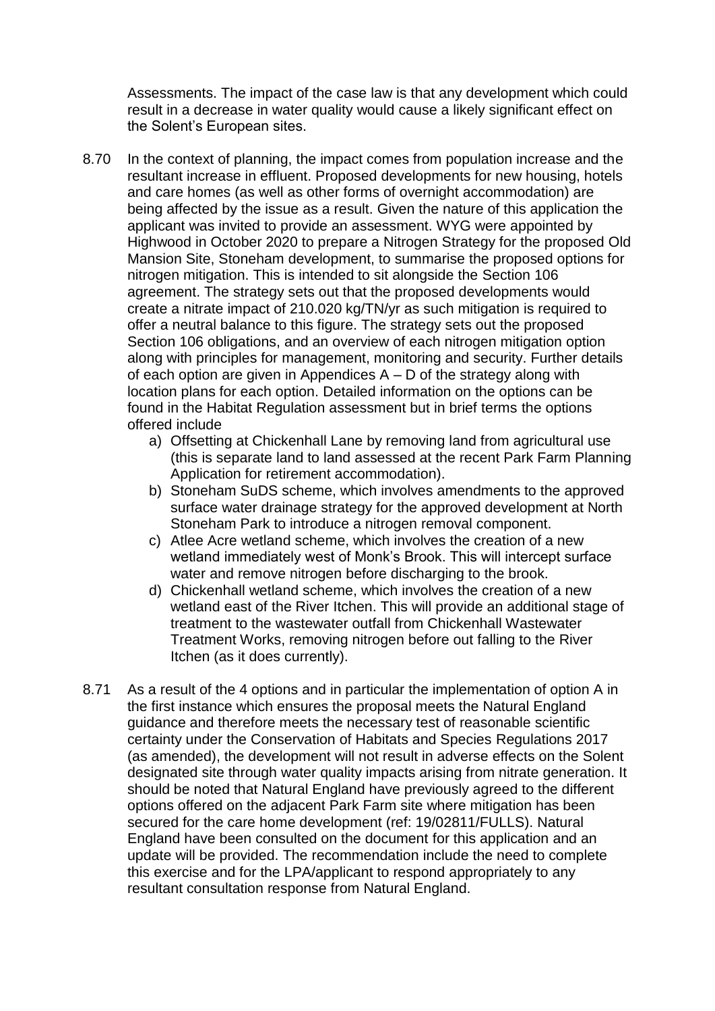Assessments. The impact of the case law is that any development which could result in a decrease in water quality would cause a likely significant effect on the Solent's European sites.

- 8.70 In the context of planning, the impact comes from population increase and the resultant increase in effluent. Proposed developments for new housing, hotels and care homes (as well as other forms of overnight accommodation) are being affected by the issue as a result. Given the nature of this application the applicant was invited to provide an assessment. WYG were appointed by Highwood in October 2020 to prepare a Nitrogen Strategy for the proposed Old Mansion Site, Stoneham development, to summarise the proposed options for nitrogen mitigation. This is intended to sit alongside the Section 106 agreement. The strategy sets out that the proposed developments would create a nitrate impact of 210.020 kg/TN/yr as such mitigation is required to offer a neutral balance to this figure. The strategy sets out the proposed Section 106 obligations, and an overview of each nitrogen mitigation option along with principles for management, monitoring and security. Further details of each option are given in Appendices A – D of the strategy along with location plans for each option. Detailed information on the options can be found in the Habitat Regulation assessment but in brief terms the options offered include
	- a) Offsetting at Chickenhall Lane by removing land from agricultural use (this is separate land to land assessed at the recent Park Farm Planning Application for retirement accommodation).
	- b) Stoneham SuDS scheme, which involves amendments to the approved surface water drainage strategy for the approved development at North Stoneham Park to introduce a nitrogen removal component.
	- c) Atlee Acre wetland scheme, which involves the creation of a new wetland immediately west of Monk's Brook. This will intercept surface water and remove nitrogen before discharging to the brook.
	- d) Chickenhall wetland scheme, which involves the creation of a new wetland east of the River Itchen. This will provide an additional stage of treatment to the wastewater outfall from Chickenhall Wastewater Treatment Works, removing nitrogen before out falling to the River Itchen (as it does currently).
- 8.71 As a result of the 4 options and in particular the implementation of option A in the first instance which ensures the proposal meets the Natural England guidance and therefore meets the necessary test of reasonable scientific certainty under the Conservation of Habitats and Species Regulations 2017 (as amended), the development will not result in adverse effects on the Solent designated site through water quality impacts arising from nitrate generation. It should be noted that Natural England have previously agreed to the different options offered on the adjacent Park Farm site where mitigation has been secured for the care home development (ref: 19/02811/FULLS). Natural England have been consulted on the document for this application and an update will be provided. The recommendation include the need to complete this exercise and for the LPA/applicant to respond appropriately to any resultant consultation response from Natural England.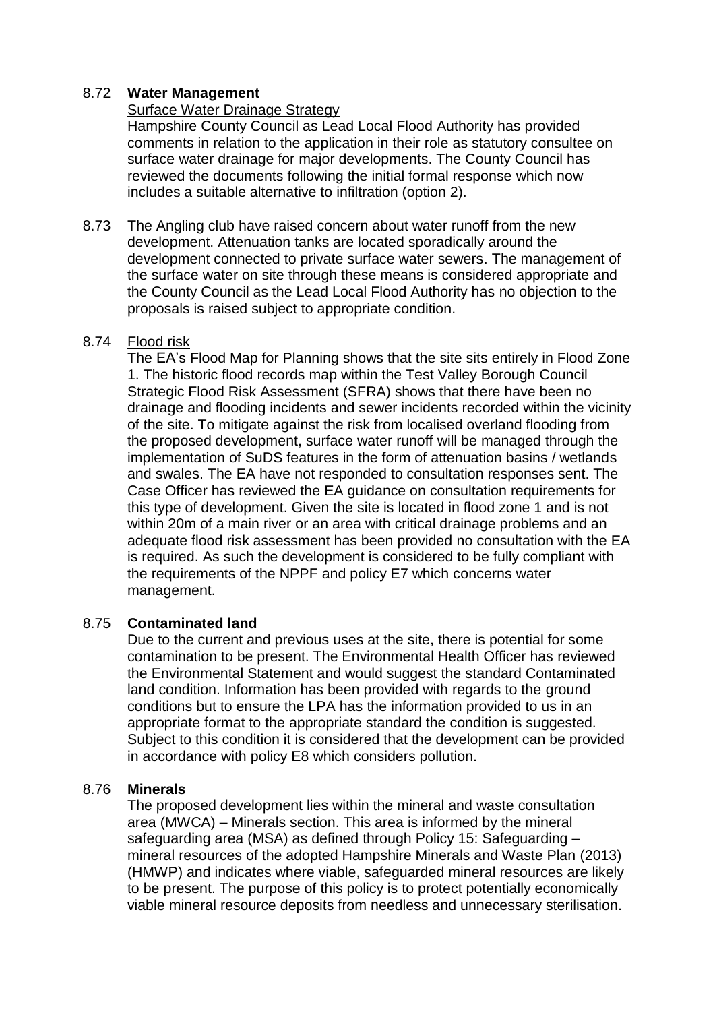## 8.72 **Water Management**

## Surface Water Drainage Strategy

Hampshire County Council as Lead Local Flood Authority has provided comments in relation to the application in their role as statutory consultee on surface water drainage for major developments. The County Council has reviewed the documents following the initial formal response which now includes a suitable alternative to infiltration (option 2).

8.73 The Angling club have raised concern about water runoff from the new development. Attenuation tanks are located sporadically around the development connected to private surface water sewers. The management of the surface water on site through these means is considered appropriate and the County Council as the Lead Local Flood Authority has no objection to the proposals is raised subject to appropriate condition.

## 8.74 Flood risk

The EA's Flood Map for Planning shows that the site sits entirely in Flood Zone 1. The historic flood records map within the Test Valley Borough Council Strategic Flood Risk Assessment (SFRA) shows that there have been no drainage and flooding incidents and sewer incidents recorded within the vicinity of the site. To mitigate against the risk from localised overland flooding from the proposed development, surface water runoff will be managed through the implementation of SuDS features in the form of attenuation basins / wetlands and swales. The EA have not responded to consultation responses sent. The Case Officer has reviewed the EA guidance on consultation requirements for this type of development. Given the site is located in flood zone 1 and is not within 20m of a main river or an area with critical drainage problems and an adequate flood risk assessment has been provided no consultation with the EA is required. As such the development is considered to be fully compliant with the requirements of the NPPF and policy E7 which concerns water management.

## 8.75 **Contaminated land**

Due to the current and previous uses at the site, there is potential for some contamination to be present. The Environmental Health Officer has reviewed the Environmental Statement and would suggest the standard Contaminated land condition. Information has been provided with regards to the ground conditions but to ensure the LPA has the information provided to us in an appropriate format to the appropriate standard the condition is suggested. Subject to this condition it is considered that the development can be provided in accordance with policy E8 which considers pollution.

## 8.76 **Minerals**

The proposed development lies within the mineral and waste consultation area (MWCA) – Minerals section. This area is informed by the mineral safeguarding area (MSA) as defined through Policy 15: Safeguarding – mineral resources of the adopted Hampshire Minerals and Waste Plan (2013) (HMWP) and indicates where viable, safeguarded mineral resources are likely to be present. The purpose of this policy is to protect potentially economically viable mineral resource deposits from needless and unnecessary sterilisation.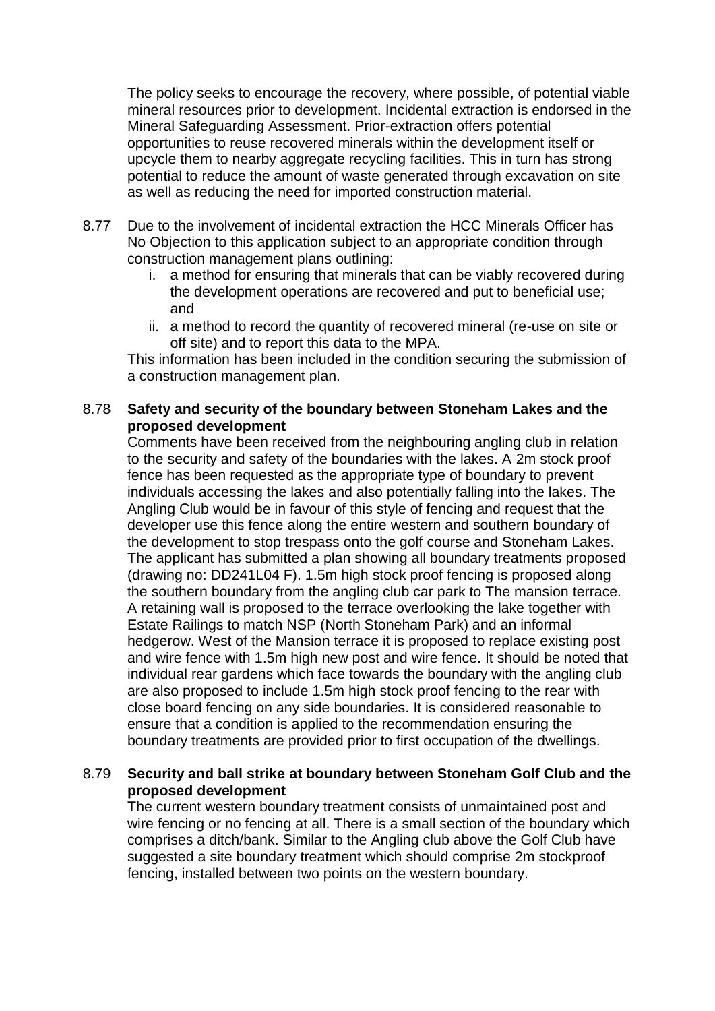The policy seeks to encourage the recovery, where possible, of potential viable mineral resources prior to development. Incidental extraction is endorsed in the Mineral Safeguarding Assessment. Prior-extraction offers potential opportunities to reuse recovered minerals within the development itself or upcycle them to nearby aggregate recycling facilities. This in turn has strong potential to reduce the amount of waste generated through excavation on site as well as reducing the need for imported construction material.

- 8.77 Due to the involvement of incidental extraction the HCC Minerals Officer has No Objection to this application subject to an appropriate condition through construction management plans outlining:
	- i. a method for ensuring that minerals that can be viably recovered during the development operations are recovered and put to beneficial use; and
	- ii. a method to record the quantity of recovered mineral (re-use on site or off site) and to report this data to the MPA.

This information has been included in the condition securing the submission of a construction management plan.

# 8.78 **Safety and security of the boundary between Stoneham Lakes and the proposed development**

Comments have been received from the neighbouring angling club in relation to the security and safety of the boundaries with the lakes. A 2m stock proof fence has been requested as the appropriate type of boundary to prevent individuals accessing the lakes and also potentially falling into the lakes. The Angling Club would be in favour of this style of fencing and request that the developer use this fence along the entire western and southern boundary of the development to stop trespass onto the golf course and Stoneham Lakes. The applicant has submitted a plan showing all boundary treatments proposed (drawing no: DD241L04 F). 1.5m high stock proof fencing is proposed along the southern boundary from the angling club car park to The mansion terrace. A retaining wall is proposed to the terrace overlooking the lake together with Estate Railings to match NSP (North Stoneham Park) and an informal hedgerow. West of the Mansion terrace it is proposed to replace existing post and wire fence with 1.5m high new post and wire fence. It should be noted that individual rear gardens which face towards the boundary with the angling club are also proposed to include 1.5m high stock proof fencing to the rear with close board fencing on any side boundaries. It is considered reasonable to ensure that a condition is applied to the recommendation ensuring the boundary treatments are provided prior to first occupation of the dwellings.

# 8.79 **Security and ball strike at boundary between Stoneham Golf Club and the proposed development**

The current western boundary treatment consists of unmaintained post and wire fencing or no fencing at all. There is a small section of the boundary which comprises a ditch/bank. Similar to the Angling club above the Golf Club have suggested a site boundary treatment which should comprise 2m stockproof fencing, installed between two points on the western boundary.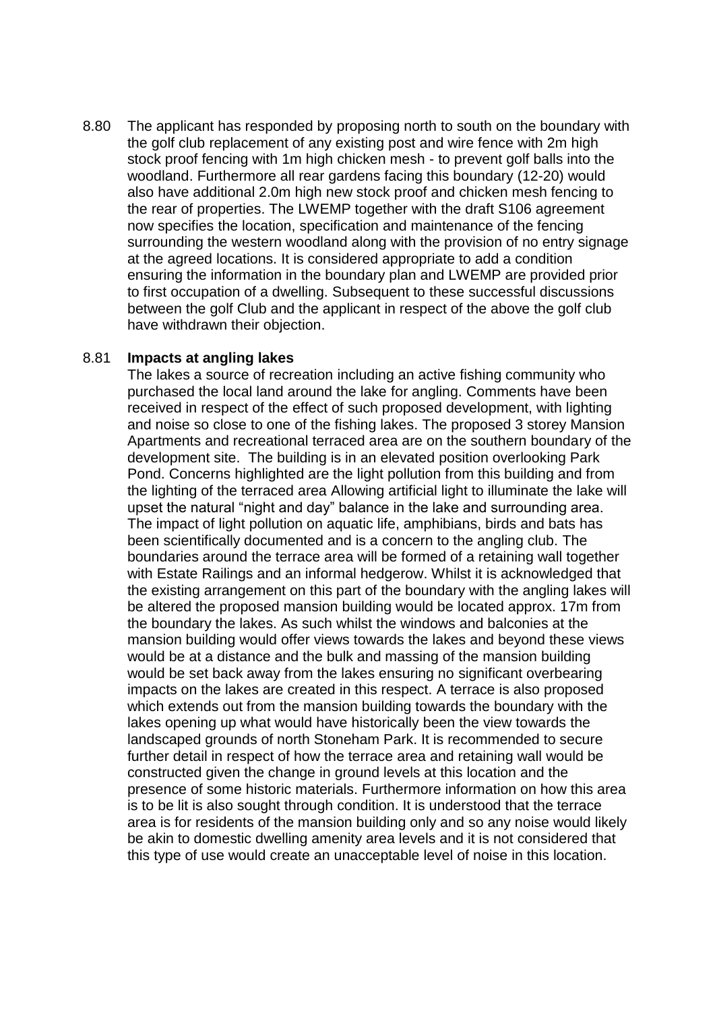8.80 The applicant has responded by proposing north to south on the boundary with the golf club replacement of any existing post and wire fence with 2m high stock proof fencing with 1m high chicken mesh - to prevent golf balls into the woodland. Furthermore all rear gardens facing this boundary (12-20) would also have additional 2.0m high new stock proof and chicken mesh fencing to the rear of properties. The LWEMP together with the draft S106 agreement now specifies the location, specification and maintenance of the fencing surrounding the western woodland along with the provision of no entry signage at the agreed locations. It is considered appropriate to add a condition ensuring the information in the boundary plan and LWEMP are provided prior to first occupation of a dwelling. Subsequent to these successful discussions between the golf Club and the applicant in respect of the above the golf club have withdrawn their objection.

#### 8.81 **Impacts at angling lakes**

The lakes a source of recreation including an active fishing community who purchased the local land around the lake for angling. Comments have been received in respect of the effect of such proposed development, with lighting and noise so close to one of the fishing lakes. The proposed 3 storey Mansion Apartments and recreational terraced area are on the southern boundary of the development site. The building is in an elevated position overlooking Park Pond. Concerns highlighted are the light pollution from this building and from the lighting of the terraced area Allowing artificial light to illuminate the lake will upset the natural "night and day" balance in the lake and surrounding area. The impact of light pollution on aquatic life, amphibians, birds and bats has been scientifically documented and is a concern to the angling club. The boundaries around the terrace area will be formed of a retaining wall together with Estate Railings and an informal hedgerow. Whilst it is acknowledged that the existing arrangement on this part of the boundary with the angling lakes will be altered the proposed mansion building would be located approx. 17m from the boundary the lakes. As such whilst the windows and balconies at the mansion building would offer views towards the lakes and beyond these views would be at a distance and the bulk and massing of the mansion building would be set back away from the lakes ensuring no significant overbearing impacts on the lakes are created in this respect. A terrace is also proposed which extends out from the mansion building towards the boundary with the lakes opening up what would have historically been the view towards the landscaped grounds of north Stoneham Park. It is recommended to secure further detail in respect of how the terrace area and retaining wall would be constructed given the change in ground levels at this location and the presence of some historic materials. Furthermore information on how this area is to be lit is also sought through condition. It is understood that the terrace area is for residents of the mansion building only and so any noise would likely be akin to domestic dwelling amenity area levels and it is not considered that this type of use would create an unacceptable level of noise in this location.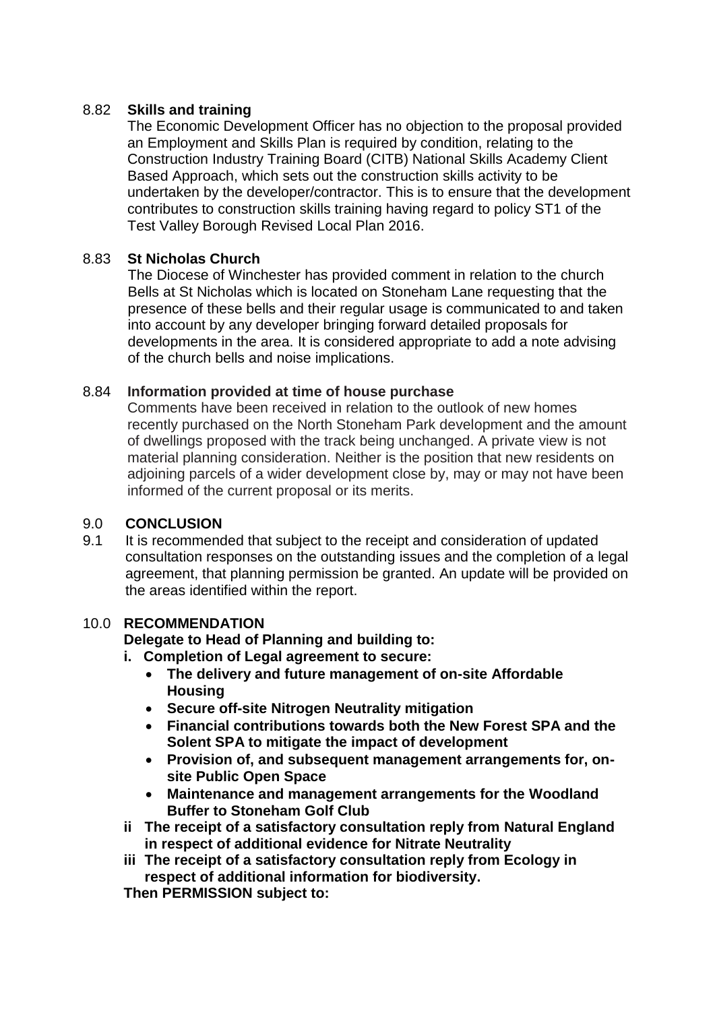# 8.82 **Skills and training**

The Economic Development Officer has no objection to the proposal provided an Employment and Skills Plan is required by condition, relating to the Construction Industry Training Board (CITB) National Skills Academy Client Based Approach, which sets out the construction skills activity to be undertaken by the developer/contractor. This is to ensure that the development contributes to construction skills training having regard to policy ST1 of the Test Valley Borough Revised Local Plan 2016.

## 8.83 **St Nicholas Church**

The Diocese of Winchester has provided comment in relation to the church Bells at St Nicholas which is located on Stoneham Lane requesting that the presence of these bells and their regular usage is communicated to and taken into account by any developer bringing forward detailed proposals for developments in the area. It is considered appropriate to add a note advising of the church bells and noise implications.

## 8.84 **Information provided at time of house purchase**

Comments have been received in relation to the outlook of new homes recently purchased on the North Stoneham Park development and the amount of dwellings proposed with the track being unchanged. A private view is not material planning consideration. Neither is the position that new residents on adjoining parcels of a wider development close by, may or may not have been informed of the current proposal or its merits.

## 9.0 **CONCLUSION**

9.1 It is recommended that subject to the receipt and consideration of updated consultation responses on the outstanding issues and the completion of a legal agreement, that planning permission be granted. An update will be provided on the areas identified within the report.

## 10.0 **RECOMMENDATION**

**Delegate to Head of Planning and building to:**

- **i. Completion of Legal agreement to secure:**
	- **The delivery and future management of on-site Affordable Housing**
	- **Secure off-site Nitrogen Neutrality mitigation**
	- **Financial contributions towards both the New Forest SPA and the Solent SPA to mitigate the impact of development**
	- **Provision of, and subsequent management arrangements for, onsite Public Open Space**
	- **Maintenance and management arrangements for the Woodland Buffer to Stoneham Golf Club**
- **ii The receipt of a satisfactory consultation reply from Natural England in respect of additional evidence for Nitrate Neutrality**
- **iii The receipt of a satisfactory consultation reply from Ecology in respect of additional information for biodiversity.**

**Then PERMISSION subject to:**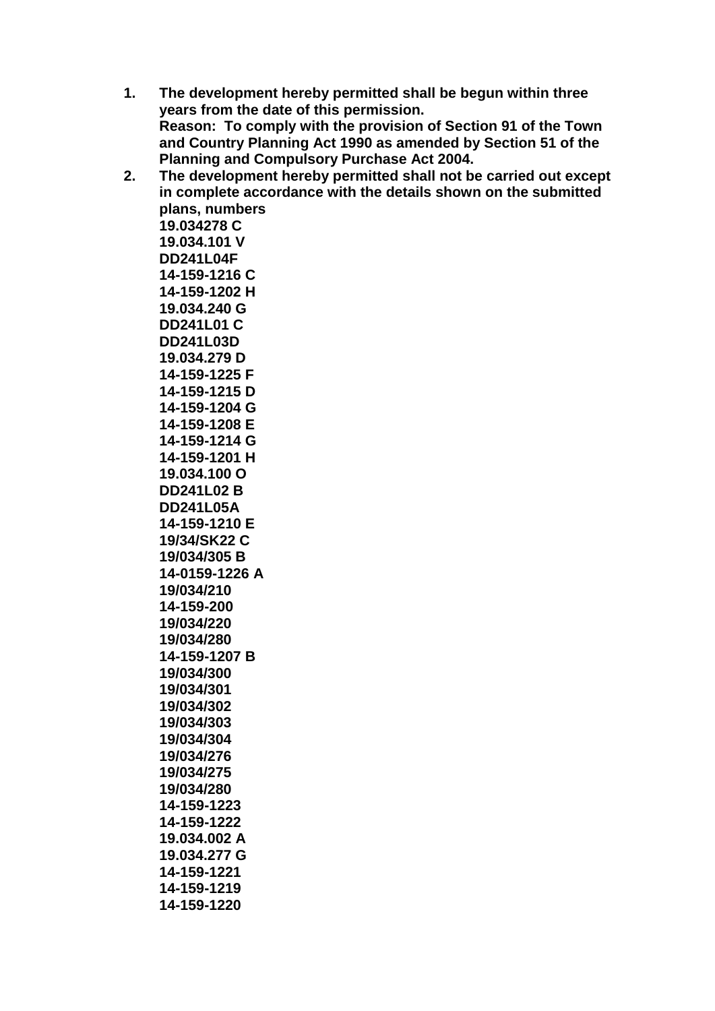- **1. The development hereby permitted shall be begun within three years from the date of this permission. Reason: To comply with the provision of Section 91 of the Town and Country Planning Act 1990 as amended by Section 51 of the Planning and Compulsory Purchase Act 2004.**
- **2. The development hereby permitted shall not be carried out except in complete accordance with the details shown on the submitted plans, numbers 19.034278 C 19.034.101 V DD241L04F 14-159-1216 C 14-159-1202 H 19.034.240 G DD241L01 C DD241L03D 19.034.279 D 14-159-1225 F 14-159-1215 D 14-159-1204 G 14-159-1208 E 14-159-1214 G 14-159-1201 H 19.034.100 O DD241L02 B DD241L05A 14-159-1210 E 19/34/SK22 C 19/034/305 B 14-0159-1226 A 19/034/210 14-159-200 19/034/220 19/034/280 14-159-1207 B 19/034/300 19/034/301 19/034/302 19/034/303 19/034/304 19/034/276 19/034/275 19/034/280 14-159-1223 14-159-1222 19.034.002 A 19.034.277 G**
	- **14-159-1221 14-159-1219**
	- **14-159-1220**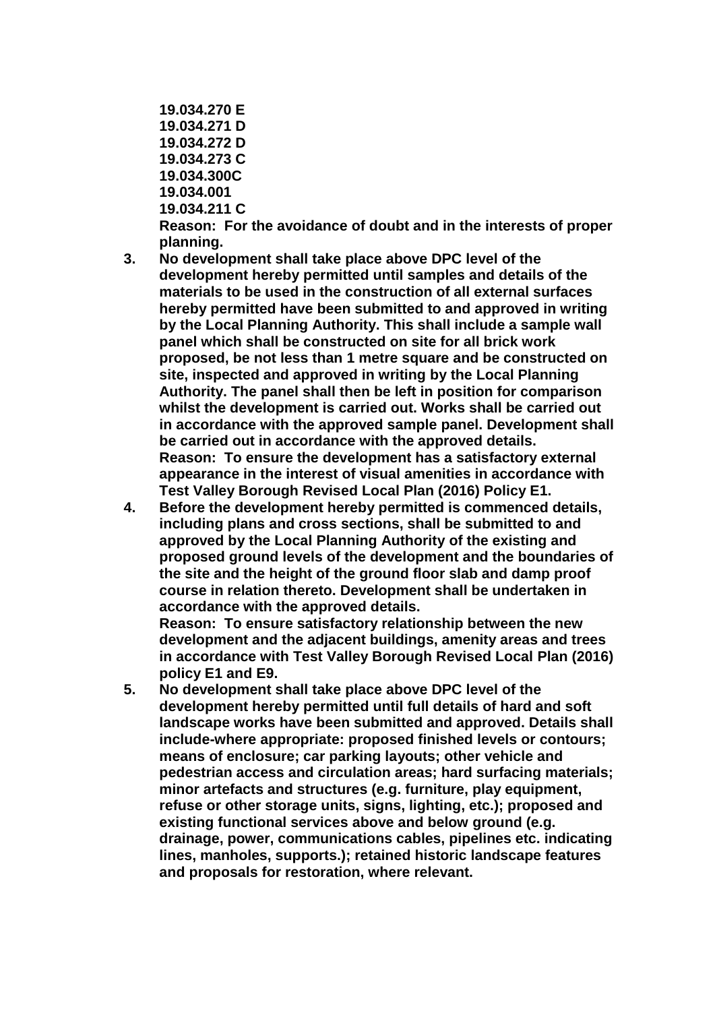- **19.034.270 E 19.034.271 D 19.034.272 D 19.034.273 C 19.034.300C 19.034.001 19.034.211 C Reason: For the avoidance of doubt and in the interests of proper**
- **planning. 3. No development shall take place above DPC level of the development hereby permitted until samples and details of the materials to be used in the construction of all external surfaces hereby permitted have been submitted to and approved in writing by the Local Planning Authority. This shall include a sample wall panel which shall be constructed on site for all brick work proposed, be not less than 1 metre square and be constructed on site, inspected and approved in writing by the Local Planning Authority. The panel shall then be left in position for comparison whilst the development is carried out. Works shall be carried out in accordance with the approved sample panel. Development shall be carried out in accordance with the approved details. Reason: To ensure the development has a satisfactory external appearance in the interest of visual amenities in accordance with**
- **Test Valley Borough Revised Local Plan (2016) Policy E1. 4. Before the development hereby permitted is commenced details, including plans and cross sections, shall be submitted to and approved by the Local Planning Authority of the existing and proposed ground levels of the development and the boundaries of the site and the height of the ground floor slab and damp proof course in relation thereto. Development shall be undertaken in accordance with the approved details. Reason: To ensure satisfactory relationship between the new development and the adjacent buildings, amenity areas and trees**

**in accordance with Test Valley Borough Revised Local Plan (2016) policy E1 and E9.** 

**5. No development shall take place above DPC level of the development hereby permitted until full details of hard and soft landscape works have been submitted and approved. Details shall include-where appropriate: proposed finished levels or contours; means of enclosure; car parking layouts; other vehicle and pedestrian access and circulation areas; hard surfacing materials; minor artefacts and structures (e.g. furniture, play equipment, refuse or other storage units, signs, lighting, etc.); proposed and existing functional services above and below ground (e.g. drainage, power, communications cables, pipelines etc. indicating lines, manholes, supports.); retained historic landscape features and proposals for restoration, where relevant.**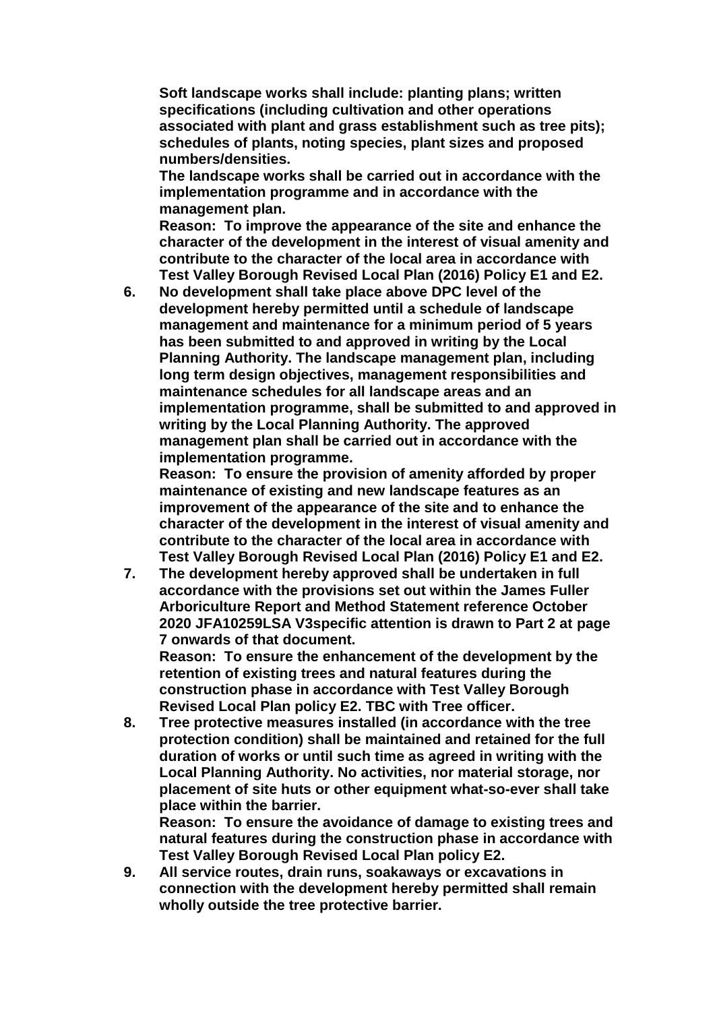**Soft landscape works shall include: planting plans; written specifications (including cultivation and other operations associated with plant and grass establishment such as tree pits); schedules of plants, noting species, plant sizes and proposed numbers/densities.**

**The landscape works shall be carried out in accordance with the implementation programme and in accordance with the management plan.**

**Reason: To improve the appearance of the site and enhance the character of the development in the interest of visual amenity and contribute to the character of the local area in accordance with Test Valley Borough Revised Local Plan (2016) Policy E1 and E2.**

**6. No development shall take place above DPC level of the development hereby permitted until a schedule of landscape management and maintenance for a minimum period of 5 years has been submitted to and approved in writing by the Local Planning Authority. The landscape management plan, including long term design objectives, management responsibilities and maintenance schedules for all landscape areas and an implementation programme, shall be submitted to and approved in writing by the Local Planning Authority. The approved management plan shall be carried out in accordance with the implementation programme.**

**Reason: To ensure the provision of amenity afforded by proper maintenance of existing and new landscape features as an improvement of the appearance of the site and to enhance the character of the development in the interest of visual amenity and contribute to the character of the local area in accordance with Test Valley Borough Revised Local Plan (2016) Policy E1 and E2.**

**7. The development hereby approved shall be undertaken in full accordance with the provisions set out within the James Fuller Arboriculture Report and Method Statement reference October 2020 JFA10259LSA V3specific attention is drawn to Part 2 at page 7 onwards of that document.**

**Reason: To ensure the enhancement of the development by the retention of existing trees and natural features during the construction phase in accordance with Test Valley Borough Revised Local Plan policy E2. TBC with Tree officer.**

**8. Tree protective measures installed (in accordance with the tree protection condition) shall be maintained and retained for the full duration of works or until such time as agreed in writing with the Local Planning Authority. No activities, nor material storage, nor placement of site huts or other equipment what-so-ever shall take place within the barrier.**

**Reason: To ensure the avoidance of damage to existing trees and natural features during the construction phase in accordance with Test Valley Borough Revised Local Plan policy E2.**

**9. All service routes, drain runs, soakaways or excavations in connection with the development hereby permitted shall remain wholly outside the tree protective barrier.**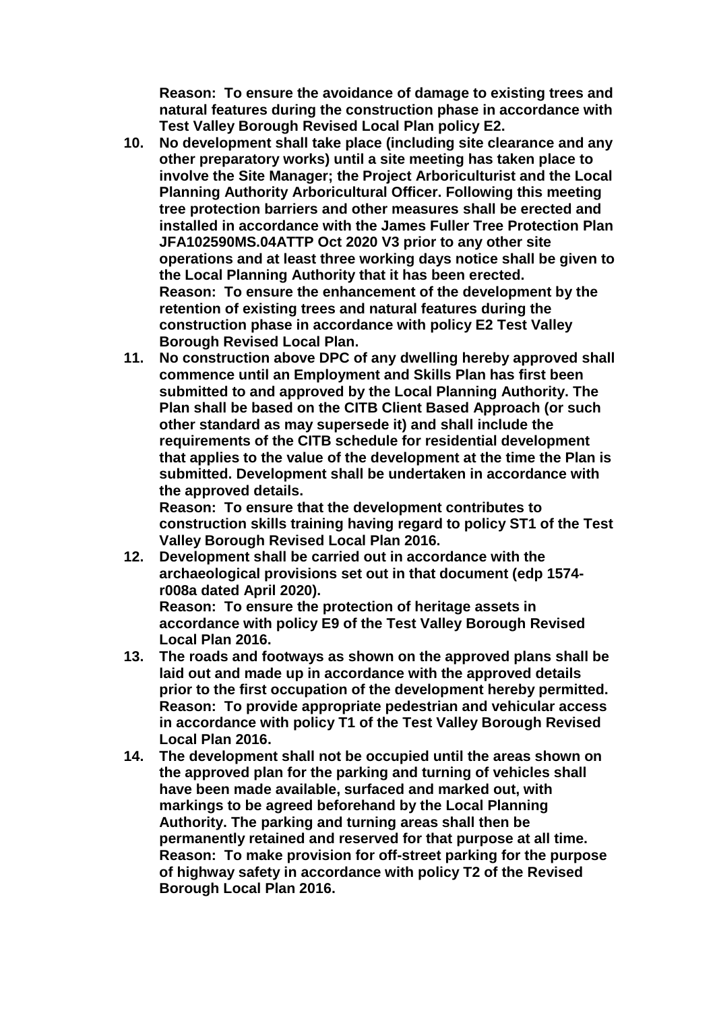**Reason: To ensure the avoidance of damage to existing trees and natural features during the construction phase in accordance with Test Valley Borough Revised Local Plan policy E2.**

- **10. No development shall take place (including site clearance and any other preparatory works) until a site meeting has taken place to involve the Site Manager; the Project Arboriculturist and the Local Planning Authority Arboricultural Officer. Following this meeting tree protection barriers and other measures shall be erected and installed in accordance with the James Fuller Tree Protection Plan JFA102590MS.04ATTP Oct 2020 V3 prior to any other site operations and at least three working days notice shall be given to the Local Planning Authority that it has been erected. Reason: To ensure the enhancement of the development by the retention of existing trees and natural features during the construction phase in accordance with policy E2 Test Valley Borough Revised Local Plan.**
- **11. No construction above DPC of any dwelling hereby approved shall commence until an Employment and Skills Plan has first been submitted to and approved by the Local Planning Authority. The Plan shall be based on the CITB Client Based Approach (or such other standard as may supersede it) and shall include the requirements of the CITB schedule for residential development that applies to the value of the development at the time the Plan is submitted. Development shall be undertaken in accordance with the approved details.**

**Reason: To ensure that the development contributes to construction skills training having regard to policy ST1 of the Test Valley Borough Revised Local Plan 2016.**

**12. Development shall be carried out in accordance with the archaeological provisions set out in that document (edp 1574 r008a dated April 2020).**

**Reason: To ensure the protection of heritage assets in accordance with policy E9 of the Test Valley Borough Revised Local Plan 2016.**

- **13. The roads and footways as shown on the approved plans shall be laid out and made up in accordance with the approved details prior to the first occupation of the development hereby permitted. Reason: To provide appropriate pedestrian and vehicular access in accordance with policy T1 of the Test Valley Borough Revised Local Plan 2016.**
- **14. The development shall not be occupied until the areas shown on the approved plan for the parking and turning of vehicles shall have been made available, surfaced and marked out, with markings to be agreed beforehand by the Local Planning Authority. The parking and turning areas shall then be permanently retained and reserved for that purpose at all time. Reason: To make provision for off-street parking for the purpose of highway safety in accordance with policy T2 of the Revised Borough Local Plan 2016.**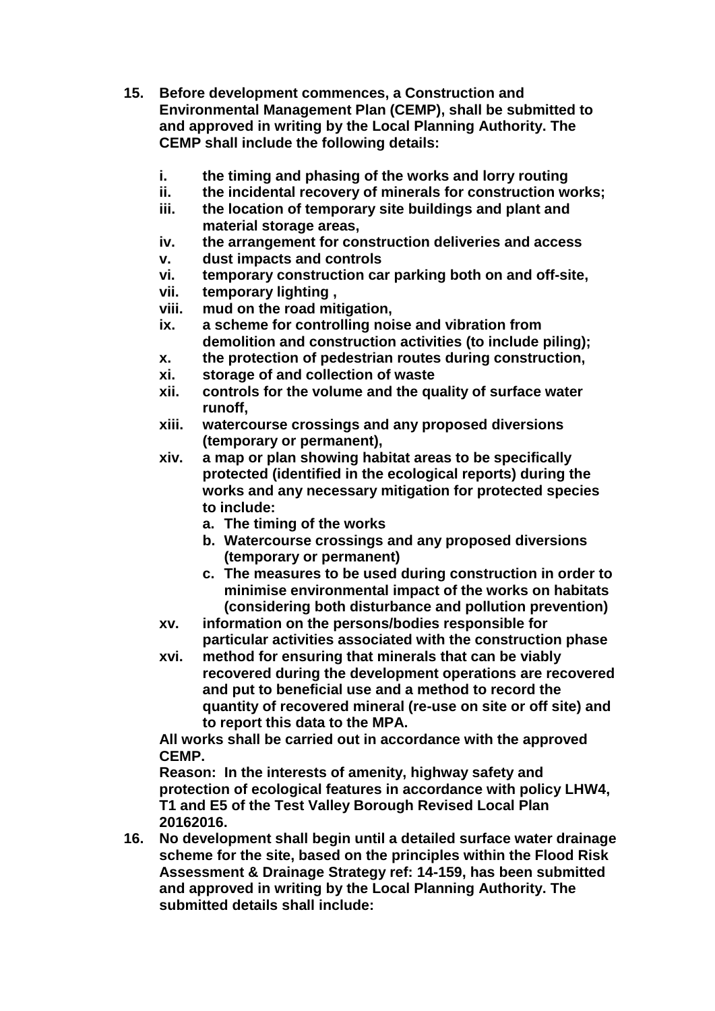- **15. Before development commences, a Construction and Environmental Management Plan (CEMP), shall be submitted to and approved in writing by the Local Planning Authority. The CEMP shall include the following details:**
	- **i. the timing and phasing of the works and lorry routing**
	- **ii. the incidental recovery of minerals for construction works;**
	- **iii. the location of temporary site buildings and plant and material storage areas,**
	- **iv. the arrangement for construction deliveries and access**
	- **v. dust impacts and controls**
	- **vi. temporary construction car parking both on and off-site,**
	- **vii. temporary lighting ,**
	- **viii. mud on the road mitigation,**
	- **ix. a scheme for controlling noise and vibration from demolition and construction activities (to include piling);**
	- **x. the protection of pedestrian routes during construction,**
	- **xi. storage of and collection of waste**
	- **xii. controls for the volume and the quality of surface water runoff,**
	- **xiii. watercourse crossings and any proposed diversions (temporary or permanent),**
	- **xiv. a map or plan showing habitat areas to be specifically protected (identified in the ecological reports) during the works and any necessary mitigation for protected species to include:**
		- **a. The timing of the works**
		- **b. Watercourse crossings and any proposed diversions (temporary or permanent)**
		- **c. The measures to be used during construction in order to minimise environmental impact of the works on habitats (considering both disturbance and pollution prevention)**
	- **xv. information on the persons/bodies responsible for particular activities associated with the construction phase**
	- **xvi. method for ensuring that minerals that can be viably recovered during the development operations are recovered and put to beneficial use and a method to record the quantity of recovered mineral (re-use on site or off site) and to report this data to the MPA.**

**All works shall be carried out in accordance with the approved CEMP.** 

**Reason: In the interests of amenity, highway safety and protection of ecological features in accordance with policy LHW4, T1 and E5 of the Test Valley Borough Revised Local Plan 20162016.**

**16. No development shall begin until a detailed surface water drainage scheme for the site, based on the principles within the Flood Risk Assessment & Drainage Strategy ref: 14-159, has been submitted and approved in writing by the Local Planning Authority. The submitted details shall include:**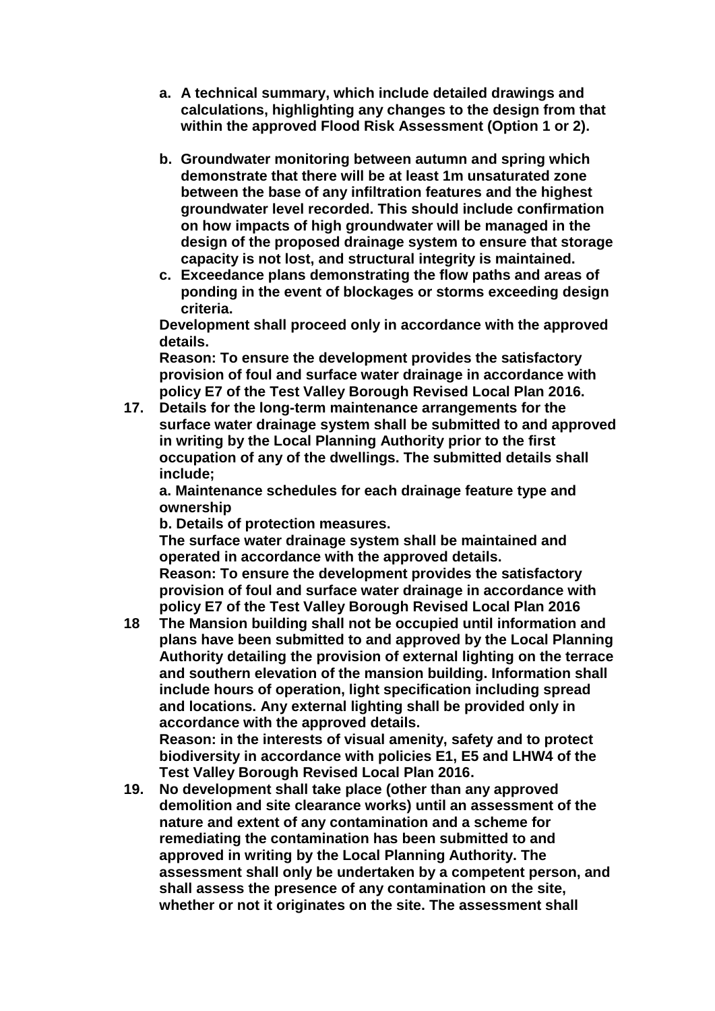- **a. A technical summary, which include detailed drawings and calculations, highlighting any changes to the design from that within the approved Flood Risk Assessment (Option 1 or 2).**
- **b. Groundwater monitoring between autumn and spring which demonstrate that there will be at least 1m unsaturated zone between the base of any infiltration features and the highest groundwater level recorded. This should include confirmation on how impacts of high groundwater will be managed in the design of the proposed drainage system to ensure that storage capacity is not lost, and structural integrity is maintained.**
- **c. Exceedance plans demonstrating the flow paths and areas of ponding in the event of blockages or storms exceeding design criteria.**

**Development shall proceed only in accordance with the approved details.**

**Reason: To ensure the development provides the satisfactory provision of foul and surface water drainage in accordance with policy E7 of the Test Valley Borough Revised Local Plan 2016.**

**17. Details for the long-term maintenance arrangements for the surface water drainage system shall be submitted to and approved in writing by the Local Planning Authority prior to the first occupation of any of the dwellings. The submitted details shall include;**

**a. Maintenance schedules for each drainage feature type and ownership**

**b. Details of protection measures.**

**The surface water drainage system shall be maintained and operated in accordance with the approved details.**

**Reason: To ensure the development provides the satisfactory provision of foul and surface water drainage in accordance with policy E7 of the Test Valley Borough Revised Local Plan 2016**

**18 The Mansion building shall not be occupied until information and plans have been submitted to and approved by the Local Planning Authority detailing the provision of external lighting on the terrace and southern elevation of the mansion building. Information shall include hours of operation, light specification including spread and locations. Any external lighting shall be provided only in accordance with the approved details. Reason: in the interests of visual amenity, safety and to protect** 

**biodiversity in accordance with policies E1, E5 and LHW4 of the Test Valley Borough Revised Local Plan 2016.**

**19. No development shall take place (other than any approved demolition and site clearance works) until an assessment of the nature and extent of any contamination and a scheme for remediating the contamination has been submitted to and approved in writing by the Local Planning Authority. The assessment shall only be undertaken by a competent person, and shall assess the presence of any contamination on the site, whether or not it originates on the site. The assessment shall**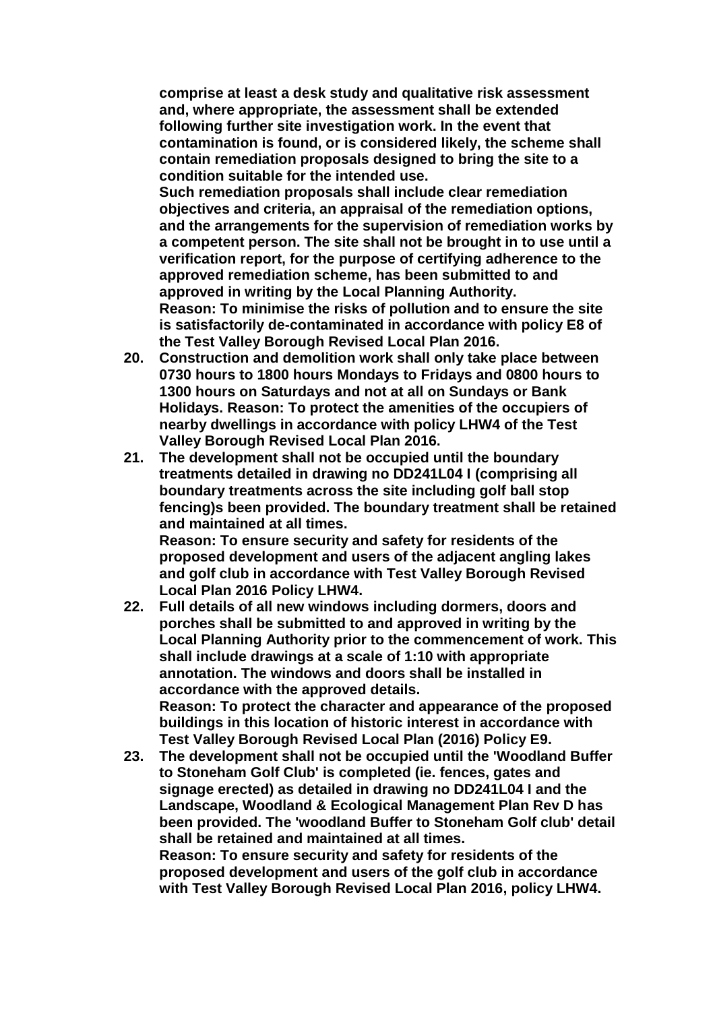**comprise at least a desk study and qualitative risk assessment and, where appropriate, the assessment shall be extended following further site investigation work. In the event that contamination is found, or is considered likely, the scheme shall contain remediation proposals designed to bring the site to a condition suitable for the intended use.**

**Such remediation proposals shall include clear remediation objectives and criteria, an appraisal of the remediation options, and the arrangements for the supervision of remediation works by a competent person. The site shall not be brought in to use until a verification report, for the purpose of certifying adherence to the approved remediation scheme, has been submitted to and approved in writing by the Local Planning Authority. Reason: To minimise the risks of pollution and to ensure the site is satisfactorily de-contaminated in accordance with policy E8 of the Test Valley Borough Revised Local Plan 2016.**

- **20. Construction and demolition work shall only take place between 0730 hours to 1800 hours Mondays to Fridays and 0800 hours to 1300 hours on Saturdays and not at all on Sundays or Bank Holidays. Reason: To protect the amenities of the occupiers of nearby dwellings in accordance with policy LHW4 of the Test Valley Borough Revised Local Plan 2016.**
- **21. The development shall not be occupied until the boundary treatments detailed in drawing no DD241L04 I (comprising all boundary treatments across the site including golf ball stop fencing)s been provided. The boundary treatment shall be retained and maintained at all times. Reason: To ensure security and safety for residents of the proposed development and users of the adjacent angling lakes and golf club in accordance with Test Valley Borough Revised Local Plan 2016 Policy LHW4.**
- **22. Full details of all new windows including dormers, doors and porches shall be submitted to and approved in writing by the Local Planning Authority prior to the commencement of work. This shall include drawings at a scale of 1:10 with appropriate annotation. The windows and doors shall be installed in accordance with the approved details. Reason: To protect the character and appearance of the proposed buildings in this location of historic interest in accordance with Test Valley Borough Revised Local Plan (2016) Policy E9.**
- **23. The development shall not be occupied until the 'Woodland Buffer to Stoneham Golf Club' is completed (ie. fences, gates and signage erected) as detailed in drawing no DD241L04 I and the Landscape, Woodland & Ecological Management Plan Rev D has been provided. The 'woodland Buffer to Stoneham Golf club' detail shall be retained and maintained at all times. Reason: To ensure security and safety for residents of the proposed development and users of the golf club in accordance with Test Valley Borough Revised Local Plan 2016, policy LHW4.**